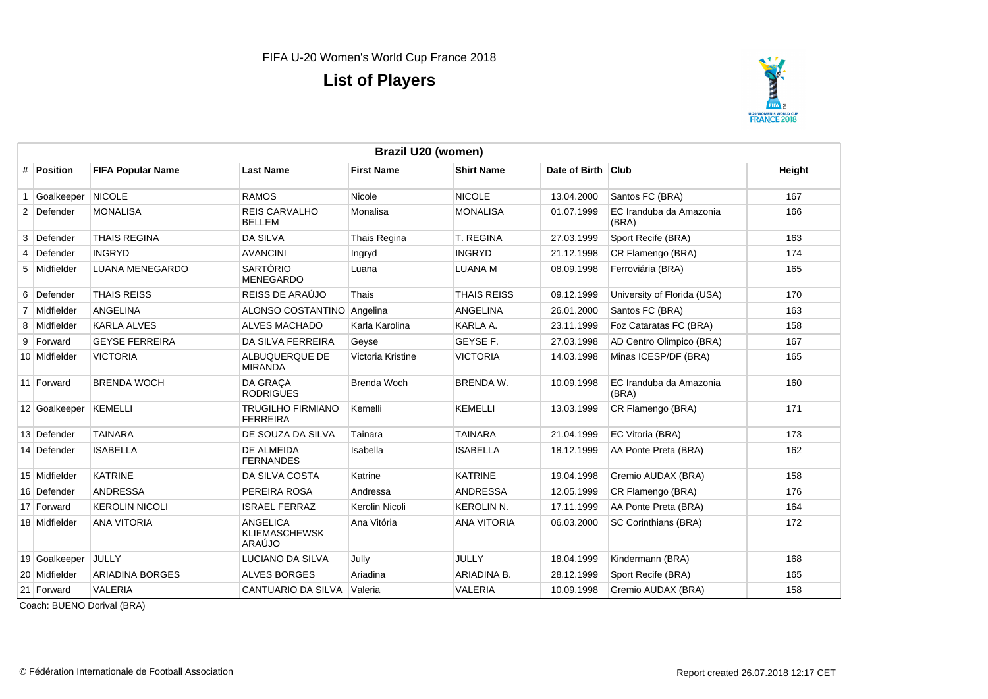

|   | Brazil U20 (women) |                          |                                                   |                   |                    |                    |                                  |        |  |  |
|---|--------------------|--------------------------|---------------------------------------------------|-------------------|--------------------|--------------------|----------------------------------|--------|--|--|
|   | # Position         | <b>FIFA Popular Name</b> | <b>Last Name</b>                                  | <b>First Name</b> | <b>Shirt Name</b>  | Date of Birth Club |                                  | Height |  |  |
|   | Goalkeeper         | <b>NICOLE</b>            | <b>RAMOS</b>                                      | Nicole            | <b>NICOLE</b>      | 13.04.2000         | Santos FC (BRA)                  | 167    |  |  |
|   | 2 Defender         | <b>MONALISA</b>          | <b>REIS CARVALHO</b><br><b>BELLEM</b>             | Monalisa          | <b>MONALISA</b>    | 01.07.1999         | EC Iranduba da Amazonia<br>(BRA) | 166    |  |  |
| 3 | Defender           | <b>THAIS REGINA</b>      | <b>DA SILVA</b>                                   | Thais Regina      | <b>T. REGINA</b>   | 27.03.1999         | Sport Recife (BRA)               | 163    |  |  |
| 4 | Defender           | <b>INGRYD</b>            | <b>AVANCINI</b>                                   | Ingryd            | <b>INGRYD</b>      | 21.12.1998         | CR Flamengo (BRA)                | 174    |  |  |
|   | 5 Midfielder       | <b>LUANA MENEGARDO</b>   | <b>SARTÓRIO</b><br><b>MENEGARDO</b>               | Luana             | <b>LUANA M</b>     | 08.09.1998         | Ferroviária (BRA)                | 165    |  |  |
|   | 6 Defender         | <b>THAIS REISS</b>       | REISS DE ARAÚJO                                   | Thais             | <b>THAIS REISS</b> | 09.12.1999         | University of Florida (USA)      | 170    |  |  |
|   | 7 Midfielder       | <b>ANGELINA</b>          | ALONSO COSTANTINO                                 | Angelina          | ANGELINA           | 26.01.2000         | Santos FC (BRA)                  | 163    |  |  |
|   | 8 Midfielder       | <b>KARLA ALVES</b>       | <b>ALVES MACHADO</b>                              | Karla Karolina    | KARLA A.           | 23.11.1999         | Foz Cataratas FC (BRA)           | 158    |  |  |
|   | 9 Forward          | <b>GEYSE FERREIRA</b>    | <b>DA SILVA FERREIRA</b>                          | Geyse             | GEYSE F.           | 27.03.1998         | AD Centro Olimpico (BRA)         | 167    |  |  |
|   | 10 Midfielder      | <b>VICTORIA</b>          | ALBUQUERQUE DE<br><b>MIRANDA</b>                  | Victoria Kristine | <b>VICTORIA</b>    | 14.03.1998         | Minas ICESP/DF (BRA)             | 165    |  |  |
|   | 11 Forward         | <b>BRENDA WOCH</b>       | <b>DA GRACA</b><br><b>RODRIGUES</b>               | Brenda Woch       | <b>BRENDA W.</b>   | 10.09.1998         | EC Iranduba da Amazonia<br>(BRA) | 160    |  |  |
|   | 12 Goalkeeper      | KEMELLI                  | <b>TRUGILHO FIRMIANO</b><br><b>FERREIRA</b>       | Kemelli           | <b>KEMELLI</b>     | 13.03.1999         | CR Flamengo (BRA)                | 171    |  |  |
|   | 13 Defender        | <b>TAINARA</b>           | DE SOUZA DA SILVA                                 | Tainara           | <b>TAINARA</b>     | 21.04.1999         | EC Vitoria (BRA)                 | 173    |  |  |
|   | 14 Defender        | <b>ISABELLA</b>          | DE ALMEIDA<br><b>FERNANDES</b>                    | Isabella          | <b>ISABELLA</b>    | 18.12.1999         | AA Ponte Preta (BRA)             | 162    |  |  |
|   | 15 Midfielder      | <b>KATRINE</b>           | DA SILVA COSTA                                    | Katrine           | <b>KATRINE</b>     | 19.04.1998         | Gremio AUDAX (BRA)               | 158    |  |  |
|   | 16 Defender        | <b>ANDRESSA</b>          | PEREIRA ROSA                                      | Andressa          | <b>ANDRESSA</b>    | 12.05.1999         | CR Flamengo (BRA)                | 176    |  |  |
|   | 17 Forward         | <b>KEROLIN NICOLI</b>    | <b>ISRAEL FERRAZ</b>                              | Kerolin Nicoli    | <b>KEROLIN N.</b>  | 17.11.1999         | AA Ponte Preta (BRA)             | 164    |  |  |
|   | 18 Midfielder      | <b>ANA VITORIA</b>       | <b>ANGELICA</b><br><b>KLIEMASCHEWSK</b><br>ARAÚJO | Ana Vitória       | <b>ANA VITORIA</b> | 06.03.2000         | SC Corinthians (BRA)             | 172    |  |  |
|   | 19 Goalkeeper      | JULLY                    | LUCIANO DA SILVA                                  | Jully             | <b>JULLY</b>       | 18.04.1999         | Kindermann (BRA)                 | 168    |  |  |
|   | 20 Midfielder      | <b>ARIADINA BORGES</b>   | <b>ALVES BORGES</b>                               | Ariadina          | ARIADINA B.        | 28.12.1999         | Sport Recife (BRA)               | 165    |  |  |
|   | 21 Forward         | <b>VALERIA</b>           | CANTUARIO DA SILVA                                | Valeria           | <b>VALERIA</b>     | 10.09.1998         | Gremio AUDAX (BRA)               | 158    |  |  |

Coach: BUENO Dorival (BRA)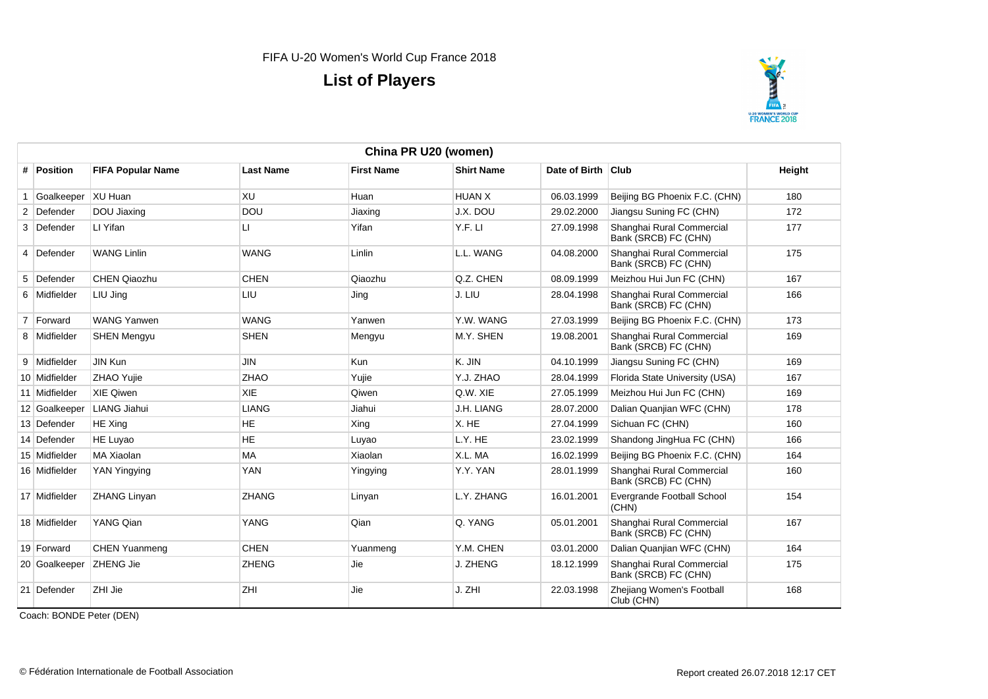

| China PR U20 (women) |                          |                  |                   |                   |                    |                                                   |        |  |  |  |
|----------------------|--------------------------|------------------|-------------------|-------------------|--------------------|---------------------------------------------------|--------|--|--|--|
| # Position           | <b>FIFA Popular Name</b> | <b>Last Name</b> | <b>First Name</b> | <b>Shirt Name</b> | Date of Birth Club |                                                   | Height |  |  |  |
| Goalkeeper           | XU Huan                  | <b>XU</b>        | Huan              | <b>HUAN X</b>     | 06.03.1999         | Beijing BG Phoenix F.C. (CHN)                     | 180    |  |  |  |
| 2 Defender           | DOU Jiaxing              | <b>DOU</b>       | Jiaxing           | J.X. DOU          | 29.02.2000         | Jiangsu Suning FC (CHN)                           | 172    |  |  |  |
| 3 Defender           | LI Yifan                 | LI.              | Yifan             | Y.F. LI           | 27.09.1998         | Shanghai Rural Commercial<br>Bank (SRCB) FC (CHN) | 177    |  |  |  |
| 4 Defender           | <b>WANG Linlin</b>       | <b>WANG</b>      | Linlin            | L.L. WANG         | 04.08.2000         | Shanghai Rural Commercial<br>Bank (SRCB) FC (CHN) | 175    |  |  |  |
| 5 Defender           | <b>CHEN Qiaozhu</b>      | <b>CHEN</b>      | Qiaozhu           | Q.Z. CHEN         | 08.09.1999         | Meizhou Hui Jun FC (CHN)                          | 167    |  |  |  |
| 6 Midfielder         | LIU Jing                 | LIU              | Jing              | J. LIU            | 28.04.1998         | Shanghai Rural Commercial<br>Bank (SRCB) FC (CHN) | 166    |  |  |  |
| 7 Forward            | <b>WANG Yanwen</b>       | <b>WANG</b>      | Yanwen            | Y.W. WANG         | 27.03.1999         | Beijing BG Phoenix F.C. (CHN)                     | 173    |  |  |  |
| 8 Midfielder         | <b>SHEN Mengyu</b>       | <b>SHEN</b>      | Mengyu            | M.Y. SHEN         | 19.08.2001         | Shanghai Rural Commercial<br>Bank (SRCB) FC (CHN) | 169    |  |  |  |
| 9 Midfielder         | JIN Kun                  | <b>JIN</b>       | <b>Kun</b>        | K. JIN            | 04.10.1999         | Jiangsu Suning FC (CHN)                           | 169    |  |  |  |
| 10 Midfielder        | <b>ZHAO Yujie</b>        | <b>ZHAO</b>      | Yujie             | Y.J. ZHAO         | 28.04.1999         | Florida State University (USA)                    | 167    |  |  |  |
| 11 Midfielder        | <b>XIE Qiwen</b>         | <b>XIE</b>       | Qiwen             | Q.W. XIE          | 27.05.1999         | Meizhou Hui Jun FC (CHN)                          | 169    |  |  |  |
| 12 Goalkeeper        | LIANG Jiahui             | <b>LIANG</b>     | Jiahui            | J.H. LIANG        | 28.07.2000         | Dalian Quanjian WFC (CHN)                         | 178    |  |  |  |
| 13 Defender          | <b>HE</b> Xing           | <b>HE</b>        | Xing              | X. HE             | 27.04.1999         | Sichuan FC (CHN)                                  | 160    |  |  |  |
| 14 Defender          | <b>HE Luyao</b>          | <b>HE</b>        | Luyao             | L.Y. HE           | 23.02.1999         | Shandong JingHua FC (CHN)                         | 166    |  |  |  |
| 15 Midfielder        | <b>MA Xiaolan</b>        | <b>MA</b>        | Xiaolan           | X.L. MA           | 16.02.1999         | Beijing BG Phoenix F.C. (CHN)                     | 164    |  |  |  |
| 16 Midfielder        | YAN Yingying             | <b>YAN</b>       | Yingying          | Y.Y. YAN          | 28.01.1999         | Shanghai Rural Commercial<br>Bank (SRCB) FC (CHN) | 160    |  |  |  |
| 17 Midfielder        | <b>ZHANG Linyan</b>      | <b>ZHANG</b>     | Linyan            | L.Y. ZHANG        | 16.01.2001         | <b>Evergrande Football School</b><br>(CHN)        | 154    |  |  |  |
| 18 Midfielder        | YANG Qian                | <b>YANG</b>      | Qian              | Q. YANG           | 05.01.2001         | Shanghai Rural Commercial<br>Bank (SRCB) FC (CHN) | 167    |  |  |  |
| 19 Forward           | CHEN Yuanmeng            | <b>CHEN</b>      | Yuanmeng          | Y.M. CHEN         | 03.01.2000         | Dalian Quanjian WFC (CHN)                         | 164    |  |  |  |
| 20 Goalkeeper        | <b>ZHENG Jie</b>         | <b>ZHENG</b>     | Jie               | J. ZHENG          | 18.12.1999         | Shanghai Rural Commercial<br>Bank (SRCB) FC (CHN) | 175    |  |  |  |
| 21 Defender          | ZHI Jie                  | ZHI              | Jie               | J. ZHI            | 22.03.1998         | Zhejiang Women's Football<br>Club (CHN)           | 168    |  |  |  |

Coach: BONDE Peter (DEN)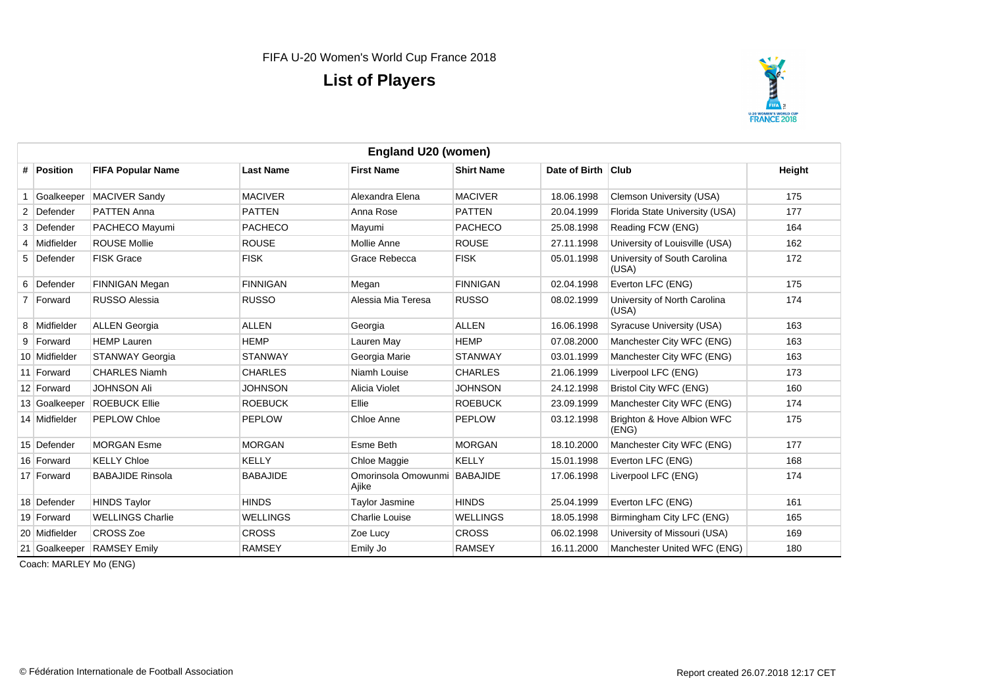

| <b>England U20 (women)</b> |                          |                  |                                       |                   |                    |                                       |        |  |  |
|----------------------------|--------------------------|------------------|---------------------------------------|-------------------|--------------------|---------------------------------------|--------|--|--|
| # Position                 | <b>FIFA Popular Name</b> | <b>Last Name</b> | <b>First Name</b>                     | <b>Shirt Name</b> | Date of Birth Club |                                       | Height |  |  |
| Goalkeeper                 | <b>MACIVER Sandy</b>     | <b>MACIVER</b>   | Alexandra Elena                       | <b>MACIVER</b>    | 18.06.1998         | Clemson University (USA)              | 175    |  |  |
| 2 Defender                 | <b>PATTEN Anna</b>       | <b>PATTEN</b>    | Anna Rose                             | <b>PATTEN</b>     | 20.04.1999         | Florida State University (USA)        | 177    |  |  |
| 3 Defender                 | PACHECO Mayumi           | <b>PACHECO</b>   | Mayumi                                | <b>PACHECO</b>    | 25.08.1998         | Reading FCW (ENG)                     | 164    |  |  |
| 4 Midfielder               | <b>ROUSE Mollie</b>      | <b>ROUSE</b>     | Mollie Anne                           | <b>ROUSE</b>      | 27.11.1998         | University of Louisville (USA)        | 162    |  |  |
| 5 Defender                 | <b>FISK Grace</b>        | <b>FISK</b>      | Grace Rebecca                         | <b>FISK</b>       | 05.01.1998         | University of South Carolina<br>(USA) | 172    |  |  |
| 6 Defender                 | <b>FINNIGAN Megan</b>    | <b>FINNIGAN</b>  | Megan                                 | <b>FINNIGAN</b>   | 02.04.1998         | Everton LFC (ENG)                     | 175    |  |  |
| 7   Forward                | <b>RUSSO Alessia</b>     | <b>RUSSO</b>     | Alessia Mia Teresa                    | <b>RUSSO</b>      | 08.02.1999         | University of North Carolina<br>(USA) | 174    |  |  |
| 8 Midfielder               | <b>ALLEN Georgia</b>     | ALLEN            | Georgia                               | <b>ALLEN</b>      | 16.06.1998         | Syracuse University (USA)             | 163    |  |  |
| 9 Forward                  | <b>HEMP Lauren</b>       | <b>HEMP</b>      | Lauren Mav                            | <b>HEMP</b>       | 07.08.2000         | Manchester City WFC (ENG)             | 163    |  |  |
| 10 Midfielder              | <b>STANWAY Georgia</b>   | <b>STANWAY</b>   | Georgia Marie                         | <b>STANWAY</b>    | 03.01.1999         | Manchester City WFC (ENG)             | 163    |  |  |
| 11 Forward                 | <b>CHARLES Niamh</b>     | <b>CHARLES</b>   | Niamh Louise                          | <b>CHARLES</b>    | 21.06.1999         | Liverpool LFC (ENG)                   | 173    |  |  |
| 12 Forward                 | <b>JOHNSON Ali</b>       | <b>JOHNSON</b>   | Alicia Violet                         | <b>JOHNSON</b>    | 24.12.1998         | <b>Bristol City WFC (ENG)</b>         | 160    |  |  |
| 13 Goalkeeper              | <b>ROEBUCK Ellie</b>     | <b>ROEBUCK</b>   | Ellie                                 | <b>ROEBUCK</b>    | 23.09.1999         | Manchester City WFC (ENG)             | 174    |  |  |
| 14 Midfielder              | <b>PEPLOW Chloe</b>      | <b>PEPLOW</b>    | Chloe Anne                            | <b>PEPLOW</b>     | 03.12.1998         | Brighton & Hove Albion WFC<br>(ENG)   | 175    |  |  |
| 15 Defender                | <b>MORGAN Esme</b>       | <b>MORGAN</b>    | Esme Beth                             | <b>MORGAN</b>     | 18.10.2000         | Manchester City WFC (ENG)             | 177    |  |  |
| 16 Forward                 | <b>KELLY Chloe</b>       | <b>KELLY</b>     | Chloe Maggie                          | <b>KELLY</b>      | 15.01.1998         | Everton LFC (ENG)                     | 168    |  |  |
| 17 Forward                 | <b>BABAJIDE Rinsola</b>  | <b>BABAJIDE</b>  | Omorinsola Omowunmi BABAJIDE<br>Ajike |                   | 17.06.1998         | Liverpool LFC (ENG)                   | 174    |  |  |
| 18 Defender                | <b>HINDS Taylor</b>      | <b>HINDS</b>     | Taylor Jasmine                        | <b>HINDS</b>      | 25.04.1999         | Everton LFC (ENG)                     | 161    |  |  |
| 19 Forward                 | <b>WELLINGS Charlie</b>  | <b>WELLINGS</b>  | <b>Charlie Louise</b>                 | <b>WELLINGS</b>   | 18.05.1998         | Birmingham City LFC (ENG)             | 165    |  |  |
| 20 Midfielder              | <b>CROSS Zoe</b>         | <b>CROSS</b>     | Zoe Lucy                              | <b>CROSS</b>      | 06.02.1998         | University of Missouri (USA)          | 169    |  |  |
| 21 Goalkeeper              | <b>RAMSEY Emily</b>      | <b>RAMSEY</b>    | Emily Jo                              | <b>RAMSEY</b>     | 16.11.2000         | Manchester United WFC (ENG)           | 180    |  |  |

Coach: MARLEY Mo (ENG)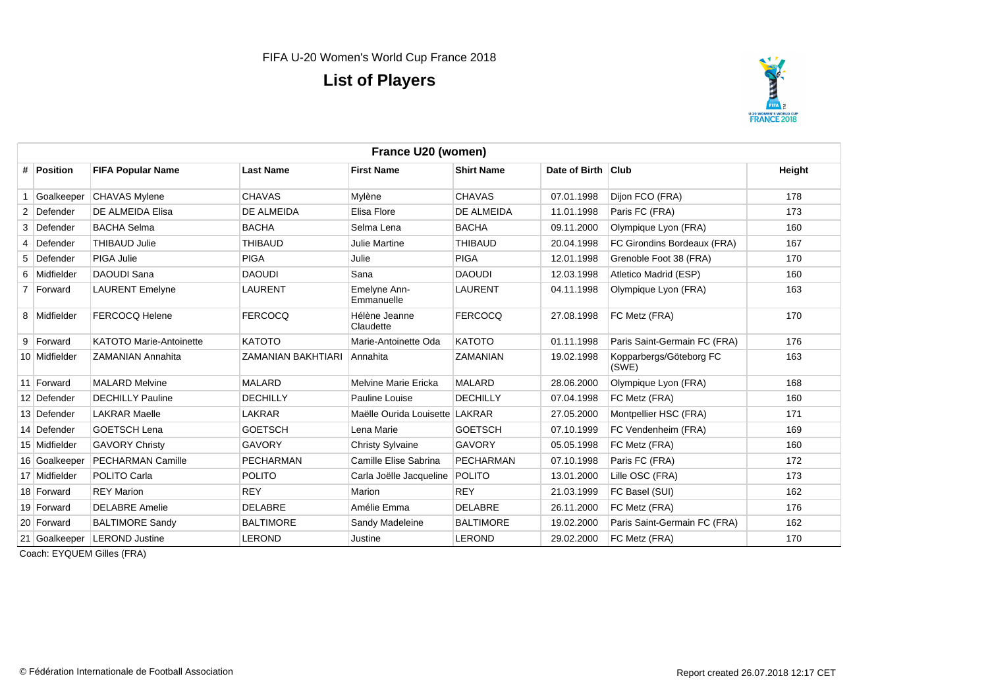

|   | France U20 (women) |                                |                    |                                  |                   |                    |                                  |        |  |  |
|---|--------------------|--------------------------------|--------------------|----------------------------------|-------------------|--------------------|----------------------------------|--------|--|--|
|   | # Position         | <b>FIFA Popular Name</b>       | <b>Last Name</b>   | <b>First Name</b>                | <b>Shirt Name</b> | Date of Birth Club |                                  | Height |  |  |
|   | Goalkeeper         | <b>CHAVAS Mylene</b>           | <b>CHAVAS</b>      | Mylène                           | <b>CHAVAS</b>     | 07.01.1998         | Dijon FCO (FRA)                  | 178    |  |  |
|   | 2 Defender         | DE ALMEIDA Elisa               | DE ALMEIDA         | Elisa Flore                      | DE ALMEIDA        | 11.01.1998         | Paris FC (FRA)                   | 173    |  |  |
|   | 3 Defender         | <b>BACHA Selma</b>             | <b>BACHA</b>       | Selma Lena                       | <b>BACHA</b>      | 09.11.2000         | Olympique Lyon (FRA)             | 160    |  |  |
| 4 | Defender           | <b>THIBAUD Julie</b>           | <b>THIBAUD</b>     | <b>Julie Martine</b>             | <b>THIBAUD</b>    | 20.04.1998         | FC Girondins Bordeaux (FRA)      | 167    |  |  |
|   | 5 Defender         | PIGA Julie                     | <b>PIGA</b>        | Julie                            | <b>PIGA</b>       | 12.01.1998         | Grenoble Foot 38 (FRA)           | 170    |  |  |
|   | 6 Midfielder       | <b>DAOUDI Sana</b>             | <b>DAOUDI</b>      | Sana                             | <b>DAOUDI</b>     | 12.03.1998         | Atletico Madrid (ESP)            | 160    |  |  |
|   | 7 Forward          | <b>LAURENT Emelyne</b>         | <b>LAURENT</b>     | Emelyne Ann-<br>Emmanuelle       | <b>LAURENT</b>    | 04.11.1998         | Olympique Lyon (FRA)             | 163    |  |  |
|   | 8 Midfielder       | <b>FERCOCQ Helene</b>          | <b>FERCOCQ</b>     | Hélène Jeanne<br>Claudette       | <b>FERCOCQ</b>    | 27.08.1998         | FC Metz (FRA)                    | 170    |  |  |
|   | 9 Forward          | <b>KATOTO Marie-Antoinette</b> | <b>KATOTO</b>      | Marie-Antoinette Oda             | KATOTO            | 01.11.1998         | Paris Saint-Germain FC (FRA)     | 176    |  |  |
|   | 10 Midfielder      | <b>ZAMANIAN Annahita</b>       | ZAMANIAN BAKHTIARI | Annahita                         | <b>ZAMANIAN</b>   | 19.02.1998         | Kopparbergs/Göteborg FC<br>(SWE) | 163    |  |  |
|   | 11 Forward         | <b>MALARD Melvine</b>          | <b>MALARD</b>      | Melvine Marie Ericka             | <b>MALARD</b>     | 28.06.2000         | Olympique Lyon (FRA)             | 168    |  |  |
|   | 12 Defender        | <b>DECHILLY Pauline</b>        | <b>DECHILLY</b>    | Pauline Louise                   | <b>DECHILLY</b>   | 07.04.1998         | FC Metz (FRA)                    | 160    |  |  |
|   | 13 Defender        | <b>LAKRAR Maelle</b>           | LAKRAR             | Maëlle Ourida Louisette LAKRAR   |                   | 27.05.2000         | Montpellier HSC (FRA)            | 171    |  |  |
|   | 14 Defender        | <b>GOETSCH Lena</b>            | <b>GOETSCH</b>     | Lena Marie                       | <b>GOETSCH</b>    | 07.10.1999         | FC Vendenheim (FRA)              | 169    |  |  |
|   | 15 Midfielder      | <b>GAVORY Christy</b>          | <b>GAVORY</b>      | <b>Christy Sylvaine</b>          | <b>GAVORY</b>     | 05.05.1998         | FC Metz (FRA)                    | 160    |  |  |
|   | 16 Goalkeeper      | <b>PECHARMAN Camille</b>       | <b>PECHARMAN</b>   | Camille Elise Sabrina            | PECHARMAN         | 07.10.1998         | Paris FC (FRA)                   | 172    |  |  |
|   | 17 Midfielder      | POLITO Carla                   | <b>POLITO</b>      | Carla Joëlle Jacqueline   POLITO |                   | 13.01.2000         | Lille OSC (FRA)                  | 173    |  |  |
|   | 18 Forward         | <b>REY Marion</b>              | <b>REY</b>         | Marion                           | <b>REY</b>        | 21.03.1999         | FC Basel (SUI)                   | 162    |  |  |
|   | 19 Forward         | <b>DELABRE Amelie</b>          | <b>DELABRE</b>     | Amélie Emma                      | <b>DELABRE</b>    | 26.11.2000         | FC Metz (FRA)                    | 176    |  |  |
|   | 20 Forward         | <b>BALTIMORE Sandy</b>         | <b>BALTIMORE</b>   | Sandy Madeleine                  | <b>BALTIMORE</b>  | 19.02.2000         | Paris Saint-Germain FC (FRA)     | 162    |  |  |
|   | 21 Goalkeeper      | <b>LEROND Justine</b>          | <b>LEROND</b>      | Justine                          | <b>LEROND</b>     | 29.02.2000         | FC Metz (FRA)                    | 170    |  |  |

Coach: EYQUEM Gilles (FRA)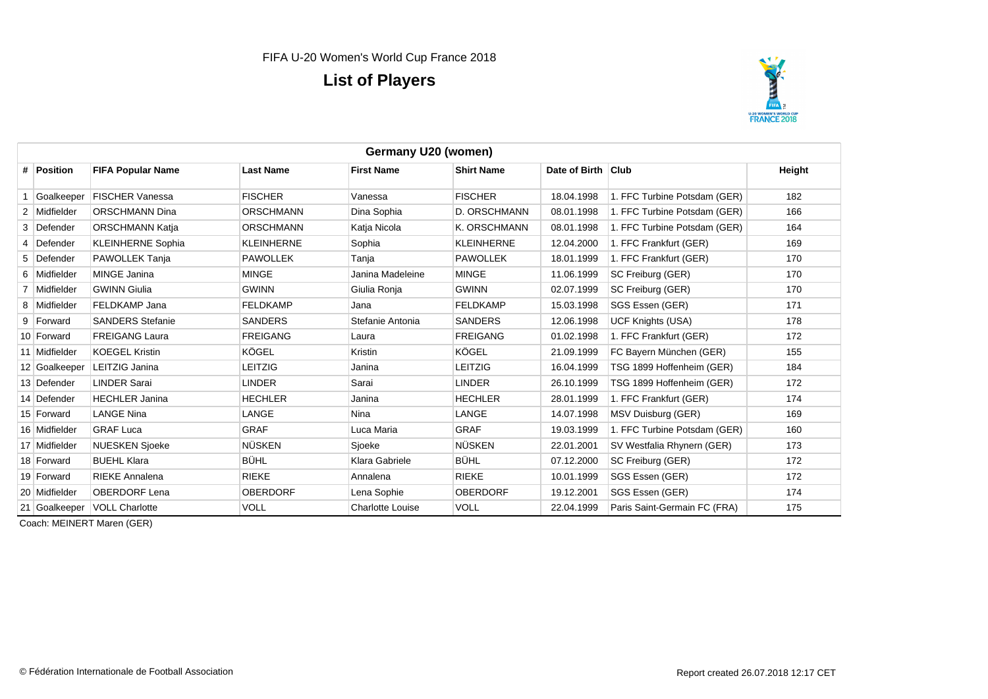

| Germany U20 (women) |                              |                   |                         |                   |                    |                              |        |  |
|---------------------|------------------------------|-------------------|-------------------------|-------------------|--------------------|------------------------------|--------|--|
| # Position          | <b>FIFA Popular Name</b>     | <b>Last Name</b>  | <b>First Name</b>       | <b>Shirt Name</b> | Date of Birth Club |                              | Height |  |
| Goalkeeper          | <b>FISCHER Vanessa</b>       | <b>FISCHER</b>    | Vanessa                 | <b>FISCHER</b>    | 18.04.1998         | 1. FFC Turbine Potsdam (GER) | 182    |  |
| 2 Midfielder        | <b>ORSCHMANN Dina</b>        | <b>ORSCHMANN</b>  | Dina Sophia             | D. ORSCHMANN      | 08.01.1998         | 1. FFC Turbine Potsdam (GER) | 166    |  |
| 3 Defender          | <b>ORSCHMANN Katja</b>       | <b>ORSCHMANN</b>  | Katja Nicola            | K. ORSCHMANN      | 08.01.1998         | 1. FFC Turbine Potsdam (GER) | 164    |  |
| 4 Defender          | <b>KLEINHERNE Sophia</b>     | <b>KLEINHERNE</b> | Sophia                  | <b>KLEINHERNE</b> | 12.04.2000         | 1. FFC Frankfurt (GER)       | 169    |  |
| 5 Defender          | PAWOLLEK Tanja               | <b>PAWOLLEK</b>   | Tanja                   | <b>PAWOLLEK</b>   | 18.01.1999         | 1. FFC Frankfurt (GER)       | 170    |  |
| 6 Midfielder        | MINGE Janina                 | <b>MINGE</b>      | Janina Madeleine        | <b>MINGE</b>      | 11.06.1999         | SC Freiburg (GER)            | 170    |  |
| 7 Midfielder        | <b>GWINN Giulia</b>          | <b>GWINN</b>      | Giulia Ronja            | <b>GWINN</b>      | 02.07.1999         | SC Freiburg (GER)            | 170    |  |
| 8 Midfielder        | FELDKAMP Jana                | <b>FELDKAMP</b>   | Jana                    | <b>FELDKAMP</b>   | 15.03.1998         | SGS Essen (GER)              | 171    |  |
| 9 Forward           | <b>SANDERS Stefanie</b>      | <b>SANDERS</b>    | Stefanie Antonia        | <b>SANDERS</b>    | 12.06.1998         | <b>UCF Knights (USA)</b>     | 178    |  |
| 10 Forward          | <b>FREIGANG Laura</b>        | <b>FREIGANG</b>   | Laura                   | <b>FREIGANG</b>   | 01.02.1998         | 1. FFC Frankfurt (GER)       | 172    |  |
| 11 Midfielder       | <b>KOEGEL Kristin</b>        | KÖGEL             | Kristin                 | KÖGEL             | 21.09.1999         | FC Bayern München (GER)      | 155    |  |
| 12 Goalkeeper       | <b>LEITZIG Janina</b>        | <b>LEITZIG</b>    | Janina                  | LEITZIG           | 16.04.1999         | TSG 1899 Hoffenheim (GER)    | 184    |  |
| 13 Defender         | <b>LINDER Sarai</b>          | <b>LINDER</b>     | Sarai                   | <b>LINDER</b>     | 26.10.1999         | TSG 1899 Hoffenheim (GER)    | 172    |  |
| 14 Defender         | <b>HECHLER Janina</b>        | <b>HECHLER</b>    | Janina                  | <b>HECHLER</b>    | 28.01.1999         | 1. FFC Frankfurt (GER)       | 174    |  |
| 15 Forward          | <b>LANGE Nina</b>            | LANGE             | Nina                    | LANGE             | 14.07.1998         | MSV Duisburg (GER)           | 169    |  |
| 16 Midfielder       | <b>GRAF Luca</b>             | <b>GRAF</b>       | Luca Maria              | <b>GRAF</b>       | 19.03.1999         | 1. FFC Turbine Potsdam (GER) | 160    |  |
| 17 Midfielder       | <b>NUESKEN Sjoeke</b>        | <b>NÜSKEN</b>     | Sioeke                  | <b>NÜSKEN</b>     | 22.01.2001         | SV Westfalia Rhynern (GER)   | 173    |  |
| 18 Forward          | <b>BUEHL Klara</b>           | <b>BÜHL</b>       | Klara Gabriele          | <b>BÜHL</b>       | 07.12.2000         | SC Freiburg (GER)            | 172    |  |
| 19 Forward          | <b>RIEKE Annalena</b>        | <b>RIEKE</b>      | Annalena                | <b>RIEKE</b>      | 10.01.1999         | SGS Essen (GER)              | 172    |  |
| 20 Midfielder       | <b>OBERDORF Lena</b>         | <b>OBERDORF</b>   | Lena Sophie             | <b>OBERDORF</b>   | 19.12.2001         | SGS Essen (GER)              | 174    |  |
|                     | 21 Goalkeeper VOLL Charlotte | <b>VOLL</b>       | <b>Charlotte Louise</b> | <b>VOLL</b>       | 22.04.1999         | Paris Saint-Germain FC (FRA) | 175    |  |

Coach: MEINERT Maren (GER)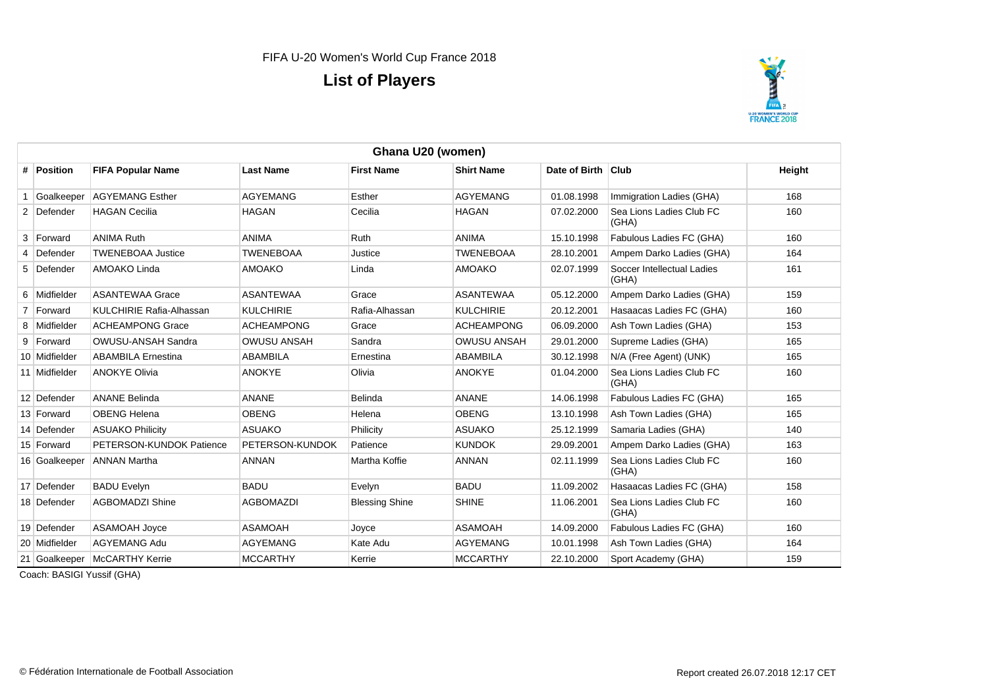

|   | Ghana U20 (women) |                           |                    |                       |                    |                    |                                     |        |  |  |
|---|-------------------|---------------------------|--------------------|-----------------------|--------------------|--------------------|-------------------------------------|--------|--|--|
|   | # Position        | <b>FIFA Popular Name</b>  | <b>Last Name</b>   | <b>First Name</b>     | <b>Shirt Name</b>  | Date of Birth Club |                                     | Height |  |  |
|   | Goalkeeper        | <b>AGYEMANG Esther</b>    | <b>AGYEMANG</b>    | Esther                | <b>AGYEMANG</b>    | 01.08.1998         | Immigration Ladies (GHA)            | 168    |  |  |
|   | 2 Defender        | <b>HAGAN Cecilia</b>      | <b>HAGAN</b>       | Cecilia               | <b>HAGAN</b>       | 07.02.2000         | Sea Lions Ladies Club FC<br>(GHA)   | 160    |  |  |
|   | 3 Forward         | <b>ANIMA Ruth</b>         | <b>ANIMA</b>       | Ruth                  | <b>ANIMA</b>       | 15.10.1998         | Fabulous Ladies FC (GHA)            | 160    |  |  |
| 4 | Defender          | <b>TWENEBOAA Justice</b>  | <b>TWENEBOAA</b>   | Justice               | <b>TWENEBOAA</b>   | 28.10.2001         | Ampem Darko Ladies (GHA)            | 164    |  |  |
|   | 5 Defender        | AMOAKO Linda              | <b>AMOAKO</b>      | Linda                 | <b>AMOAKO</b>      | 02.07.1999         | Soccer Intellectual Ladies<br>(GHA) | 161    |  |  |
|   | 6 Midfielder      | <b>ASANTEWAA Grace</b>    | <b>ASANTEWAA</b>   | Grace                 | <b>ASANTEWAA</b>   | 05.12.2000         | Ampem Darko Ladies (GHA)            | 159    |  |  |
|   | 7 Forward         | KULCHIRIE Rafia-Alhassan  | <b>KULCHIRIE</b>   | Rafia-Alhassan        | <b>KULCHIRIE</b>   | 20.12.2001         | Hasaacas Ladies FC (GHA)            | 160    |  |  |
|   | 8 Midfielder      | <b>ACHEAMPONG Grace</b>   | <b>ACHEAMPONG</b>  | Grace                 | <b>ACHEAMPONG</b>  | 06.09.2000         | Ash Town Ladies (GHA)               | 153    |  |  |
|   | 9 Forward         | OWUSU-ANSAH Sandra        | <b>OWUSU ANSAH</b> | Sandra                | <b>OWUSU ANSAH</b> | 29.01.2000         | Supreme Ladies (GHA)                | 165    |  |  |
|   | 10 Midfielder     | <b>ABAMBILA Ernestina</b> | <b>ABAMBILA</b>    | Ernestina             | <b>ABAMBILA</b>    | 30.12.1998         | N/A (Free Agent) (UNK)              | 165    |  |  |
|   | 11 Midfielder     | <b>ANOKYE Olivia</b>      | <b>ANOKYE</b>      | Olivia                | <b>ANOKYE</b>      | 01.04.2000         | Sea Lions Ladies Club FC<br>(GHA)   | 160    |  |  |
|   | 12 Defender       | <b>ANANE Belinda</b>      | <b>ANANE</b>       | Belinda               | <b>ANANE</b>       | 14.06.1998         | Fabulous Ladies FC (GHA)            | 165    |  |  |
|   | 13 Forward        | <b>OBENG Helena</b>       | <b>OBENG</b>       | Helena                | <b>OBENG</b>       | 13.10.1998         | Ash Town Ladies (GHA)               | 165    |  |  |
|   | 14 Defender       | <b>ASUAKO Philicity</b>   | <b>ASUAKO</b>      | Philicity             | <b>ASUAKO</b>      | 25.12.1999         | Samaria Ladies (GHA)                | 140    |  |  |
|   | 15 Forward        | PETERSON-KUNDOK Patience  | PETERSON-KUNDOK    | Patience              | <b>KUNDOK</b>      | 29.09.2001         | Ampem Darko Ladies (GHA)            | 163    |  |  |
|   | 16 Goalkeeper     | <b>ANNAN Martha</b>       | <b>ANNAN</b>       | Martha Koffie         | <b>ANNAN</b>       | 02.11.1999         | Sea Lions Ladies Club FC<br>(GHA)   | 160    |  |  |
|   | 17 Defender       | <b>BADU Evelyn</b>        | <b>BADU</b>        | Evelyn                | <b>BADU</b>        | 11.09.2002         | Hasaacas Ladies FC (GHA)            | 158    |  |  |
|   | 18 Defender       | <b>AGBOMADZI Shine</b>    | <b>AGBOMAZDI</b>   | <b>Blessing Shine</b> | <b>SHINE</b>       | 11.06.2001         | Sea Lions Ladies Club FC<br>(GHA)   | 160    |  |  |
|   | 19 Defender       | <b>ASAMOAH Joyce</b>      | <b>ASAMOAH</b>     | Joyce                 | <b>ASAMOAH</b>     | 14.09.2000         | Fabulous Ladies FC (GHA)            | 160    |  |  |
|   | 20 Midfielder     | <b>AGYEMANG Adu</b>       | <b>AGYEMANG</b>    | Kate Adu              | <b>AGYEMANG</b>    | 10.01.1998         | Ash Town Ladies (GHA)               | 164    |  |  |
|   | 21 Goalkeeper     | McCARTHY Kerrie           | <b>MCCARTHY</b>    | Kerrie                | <b>MCCARTHY</b>    | 22.10.2000         | Sport Academy (GHA)                 | 159    |  |  |

Coach: BASIGI Yussif (GHA)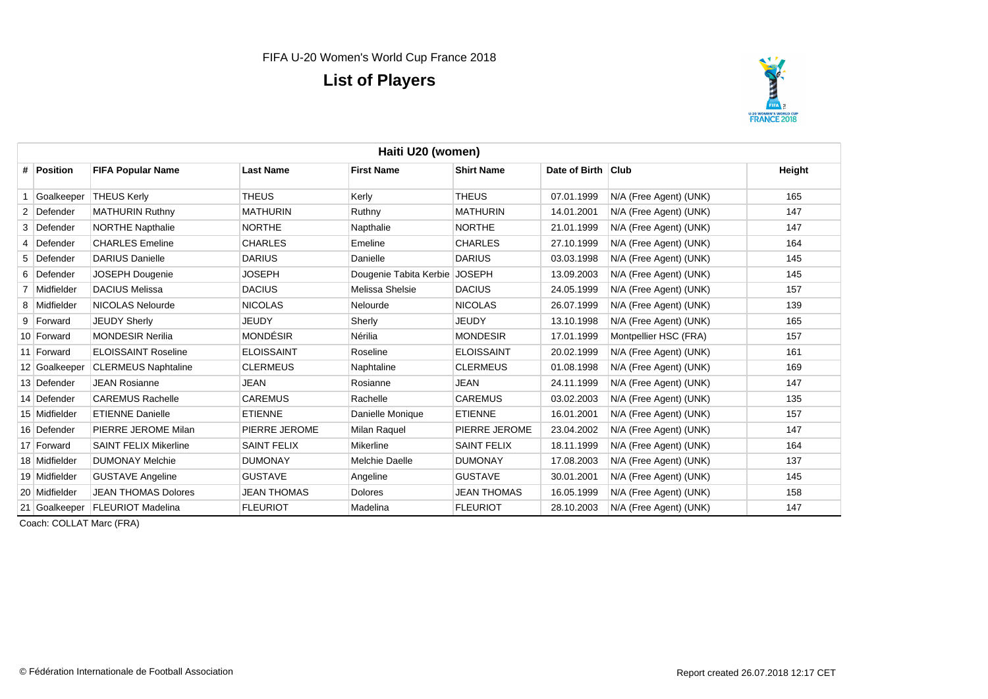

| Haiti U20 (women) |                              |                    |                               |                    |                    |                        |        |  |  |
|-------------------|------------------------------|--------------------|-------------------------------|--------------------|--------------------|------------------------|--------|--|--|
| # Position        | <b>FIFA Popular Name</b>     | <b>Last Name</b>   | <b>First Name</b>             | <b>Shirt Name</b>  | Date of Birth Club |                        | Height |  |  |
| Goalkeeper        | <b>THEUS Kerly</b>           | THEUS              | Kerly                         | <b>THEUS</b>       | 07.01.1999         | N/A (Free Agent) (UNK) | 165    |  |  |
| 2 Defender        | <b>MATHURIN Ruthny</b>       | <b>MATHURIN</b>    | Ruthny                        | <b>MATHURIN</b>    | 14.01.2001         | N/A (Free Agent) (UNK) | 147    |  |  |
| 3 Defender        | <b>NORTHE Napthalie</b>      | <b>NORTHE</b>      | Napthalie                     | <b>NORTHE</b>      | 21.01.1999         | N/A (Free Agent) (UNK) | 147    |  |  |
| 4 Defender        | <b>CHARLES</b> Emeline       | <b>CHARLES</b>     | Emeline                       | <b>CHARLES</b>     | 27.10.1999         | N/A (Free Agent) (UNK) | 164    |  |  |
| 5 Defender        | <b>DARIUS Danielle</b>       | <b>DARIUS</b>      | Danielle                      | <b>DARIUS</b>      | 03.03.1998         | N/A (Free Agent) (UNK) | 145    |  |  |
| 6 Defender        | JOSEPH Dougenie              | <b>JOSEPH</b>      | Dougenie Tabita Kerbie JOSEPH |                    | 13.09.2003         | N/A (Free Agent) (UNK) | 145    |  |  |
| 7 Midfielder      | <b>DACIUS Melissa</b>        | <b>DACIUS</b>      | Melissa Shelsie               | <b>DACIUS</b>      | 24.05.1999         | N/A (Free Agent) (UNK) | 157    |  |  |
| 8 Midfielder      | NICOLAS Nelourde             | <b>NICOLAS</b>     | Nelourde                      | <b>NICOLAS</b>     | 26.07.1999         | N/A (Free Agent) (UNK) | 139    |  |  |
| 9 Forward         | <b>JEUDY Sherly</b>          | JEUDY              | Sherly                        | <b>JEUDY</b>       | 13.10.1998         | N/A (Free Agent) (UNK) | 165    |  |  |
| 10 Forward        | <b>MONDESIR Nerilia</b>      | <b>MONDÉSIR</b>    | Nérilia                       | <b>MONDESIR</b>    | 17.01.1999         | Montpellier HSC (FRA)  | 157    |  |  |
| 11 Forward        | <b>ELOISSAINT Roseline</b>   | <b>ELOISSAINT</b>  | Roseline                      | <b>ELOISSAINT</b>  | 20.02.1999         | N/A (Free Agent) (UNK) | 161    |  |  |
| 12 Goalkeeper     | <b>CLERMEUS Naphtaline</b>   | <b>CLERMEUS</b>    | Naphtaline                    | <b>CLERMEUS</b>    | 01.08.1998         | N/A (Free Agent) (UNK) | 169    |  |  |
| 13 Defender       | <b>JEAN Rosianne</b>         | <b>JEAN</b>        | Rosianne                      | <b>JEAN</b>        | 24.11.1999         | N/A (Free Agent) (UNK) | 147    |  |  |
| 14 Defender       | <b>CAREMUS Rachelle</b>      | <b>CAREMUS</b>     | Rachelle                      | <b>CAREMUS</b>     | 03.02.2003         | N/A (Free Agent) (UNK) | 135    |  |  |
| 15 Midfielder     | <b>ETIENNE Danielle</b>      | <b>ETIENNE</b>     | Danielle Monique              | <b>ETIENNE</b>     | 16.01.2001         | N/A (Free Agent) (UNK) | 157    |  |  |
| 16 Defender       | PIERRE JEROME Milan          | PIERRE JEROME      | <b>Milan Raquel</b>           | PIERRE JEROME      | 23.04.2002         | N/A (Free Agent) (UNK) | 147    |  |  |
| 17 Forward        | <b>SAINT FELIX Mikerline</b> | <b>SAINT FELIX</b> | Mikerline                     | <b>SAINT FELIX</b> | 18.11.1999         | N/A (Free Agent) (UNK) | 164    |  |  |
| 18 Midfielder     | <b>DUMONAY Melchie</b>       | <b>DUMONAY</b>     | <b>Melchie Daelle</b>         | <b>DUMONAY</b>     | 17.08.2003         | N/A (Free Agent) (UNK) | 137    |  |  |
| 19 Midfielder     | <b>GUSTAVE Angeline</b>      | <b>GUSTAVE</b>     | Angeline                      | <b>GUSTAVE</b>     | 30.01.2001         | N/A (Free Agent) (UNK) | 145    |  |  |
| 20 Midfielder     | <b>JEAN THOMAS Dolores</b>   | <b>JEAN THOMAS</b> | <b>Dolores</b>                | <b>JEAN THOMAS</b> | 16.05.1999         | N/A (Free Agent) (UNK) | 158    |  |  |
| 21 Goalkeeper     | <b>FLEURIOT Madelina</b>     | <b>FLEURIOT</b>    | Madelina                      | <b>FLEURIOT</b>    | 28.10.2003         | N/A (Free Agent) (UNK) | 147    |  |  |

Coach: COLLAT Marc (FRA)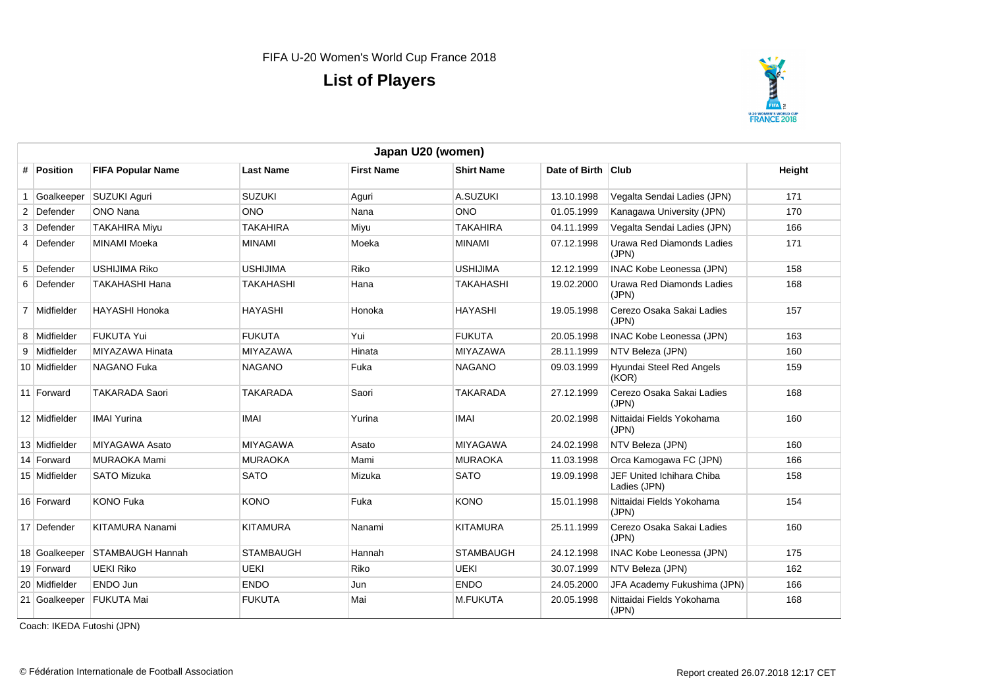

|   | Japan U20 (women) |                                |                  |                   |                   |                    |                                                  |        |  |  |
|---|-------------------|--------------------------------|------------------|-------------------|-------------------|--------------------|--------------------------------------------------|--------|--|--|
|   | # Position        | <b>FIFA Popular Name</b>       | <b>Last Name</b> | <b>First Name</b> | <b>Shirt Name</b> | Date of Birth Club |                                                  | Height |  |  |
|   | Goalkeeper        | SUZUKI Aguri                   | <b>SUZUKI</b>    | Aguri             | A.SUZUKI          | 13.10.1998         | Vegalta Sendai Ladies (JPN)                      | 171    |  |  |
|   | 2 Defender        | ONO Nana                       | <b>ONO</b>       | Nana              | <b>ONO</b>        | 01.05.1999         | Kanagawa University (JPN)                        | 170    |  |  |
| 3 | Defender          | <b>TAKAHIRA Mivu</b>           | <b>TAKAHIRA</b>  | Miyu              | <b>TAKAHIRA</b>   | 04.11.1999         | Vegalta Sendai Ladies (JPN)                      | 166    |  |  |
|   | 4 Defender        | <b>MINAMI Moeka</b>            | <b>MINAMI</b>    | Moeka             | <b>MINAMI</b>     | 07.12.1998         | <b>Urawa Red Diamonds Ladies</b><br>(JPN)        | 171    |  |  |
|   | 5 Defender        | <b>USHIJIMA Riko</b>           | <b>USHIJIMA</b>  | Riko              | <b>USHIJIMA</b>   | 12.12.1999         | <b>INAC Kobe Leonessa (JPN)</b>                  | 158    |  |  |
|   | 6 Defender        | <b>TAKAHASHI Hana</b>          | <b>TAKAHASHI</b> | Hana              | <b>TAKAHASHI</b>  | 19.02.2000         | <b>Urawa Red Diamonds Ladies</b><br>(JPN)        | 168    |  |  |
|   | 7 Midfielder      | <b>HAYASHI Honoka</b>          | <b>HAYASHI</b>   | Honoka            | <b>HAYASHI</b>    | 19.05.1998         | Cerezo Osaka Sakai Ladies<br>(JPN)               | 157    |  |  |
|   | 8 Midfielder      | <b>FUKUTA Yui</b>              | <b>FUKUTA</b>    | Yui               | <b>FUKUTA</b>     | 20.05.1998         | <b>INAC Kobe Leonessa (JPN)</b>                  | 163    |  |  |
| 9 | Midfielder        | MIYAZAWA Hinata                | <b>MIYAZAWA</b>  | Hinata            | <b>MIYAZAWA</b>   | 28.11.1999         | NTV Beleza (JPN)                                 | 160    |  |  |
|   | 10 Midfielder     | <b>NAGANO Fuka</b>             | <b>NAGANO</b>    | Fuka              | <b>NAGANO</b>     | 09.03.1999         | Hyundai Steel Red Angels<br>(KOR)                | 159    |  |  |
|   | 11 Forward        | <b>TAKARADA Saori</b>          | <b>TAKARADA</b>  | Saori             | <b>TAKARADA</b>   | 27.12.1999         | Cerezo Osaka Sakai Ladies<br>(JPN)               | 168    |  |  |
|   | 12 Midfielder     | <b>IMAI Yurina</b>             | <b>IMAI</b>      | Yurina            | <b>IMAI</b>       | 20.02.1998         | Nittaidai Fields Yokohama<br>(JPN)               | 160    |  |  |
|   | 13 Midfielder     | <b>MIYAGAWA Asato</b>          | <b>MIYAGAWA</b>  | Asato             | <b>MIYAGAWA</b>   | 24.02.1998         | NTV Beleza (JPN)                                 | 160    |  |  |
|   | 14 Forward        | <b>MURAOKA Mami</b>            | <b>MURAOKA</b>   | Mami              | <b>MURAOKA</b>    | 11.03.1998         | Orca Kamogawa FC (JPN)                           | 166    |  |  |
|   | 15 Midfielder     | <b>SATO Mizuka</b>             | <b>SATO</b>      | Mizuka            | <b>SATO</b>       | 19.09.1998         | <b>JEF United Ichihara Chiba</b><br>Ladies (JPN) | 158    |  |  |
|   | 16 Forward        | <b>KONO Fuka</b>               | <b>KONO</b>      | Fuka              | <b>KONO</b>       | 15.01.1998         | Nittaidai Fields Yokohama<br>(JPN)               | 154    |  |  |
|   | 17 Defender       | <b>KITAMURA Nanami</b>         | <b>KITAMURA</b>  | Nanami            | <b>KITAMURA</b>   | 25.11.1999         | Cerezo Osaka Sakai Ladies<br>(JPN)               | 160    |  |  |
|   |                   | 18 Goalkeeper STAMBAUGH Hannah | <b>STAMBAUGH</b> | Hannah            | <b>STAMBAUGH</b>  | 24.12.1998         | <b>INAC Kobe Leonessa (JPN)</b>                  | 175    |  |  |
|   | 19 Forward        | <b>UEKI Riko</b>               | UEKI             | Riko              | <b>UEKI</b>       | 30.07.1999         | NTV Beleza (JPN)                                 | 162    |  |  |
|   | 20 Midfielder     | <b>ENDO Jun</b>                | <b>ENDO</b>      | Jun               | <b>ENDO</b>       | 24.05.2000         | JFA Academy Fukushima (JPN)                      | 166    |  |  |
|   |                   | 21 Goalkeeper FUKUTA Mai       | <b>FUKUTA</b>    | Mai               | <b>M.FUKUTA</b>   | 20.05.1998         | Nittaidai Fields Yokohama<br>(JPN)               | 168    |  |  |

Coach: IKEDA Futoshi (JPN)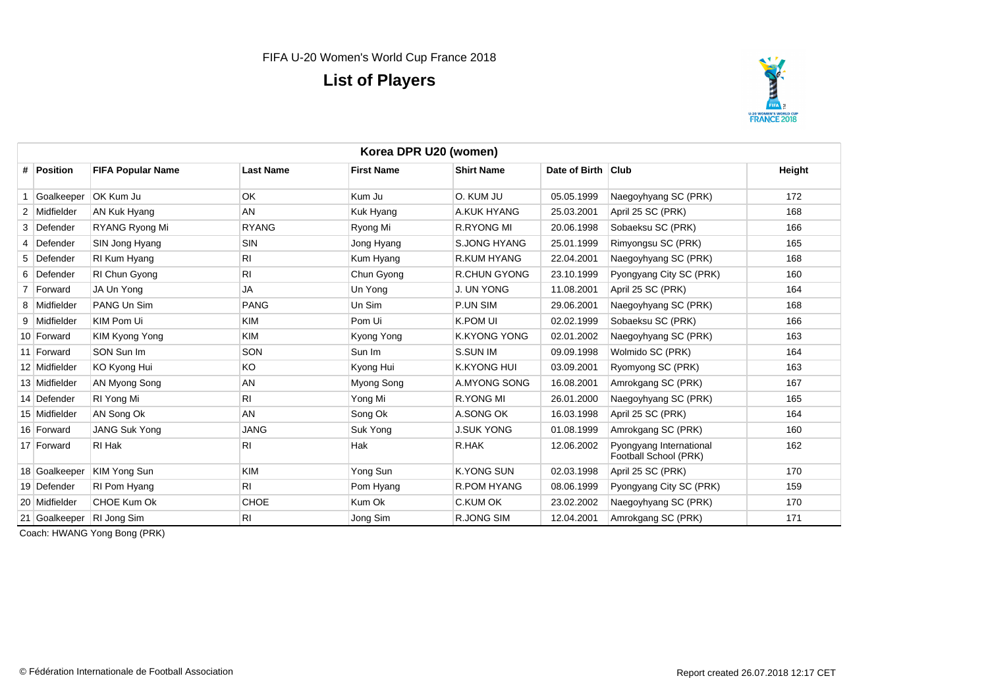

|   | Korea DPR U20 (women) |                           |                  |                   |                     |                    |                                                  |        |  |  |
|---|-----------------------|---------------------------|------------------|-------------------|---------------------|--------------------|--------------------------------------------------|--------|--|--|
|   | # Position            | <b>FIFA Popular Name</b>  | <b>Last Name</b> | <b>First Name</b> | <b>Shirt Name</b>   | Date of Birth Club |                                                  | Height |  |  |
|   | Goalkeeper            | <b>OK Kum Ju</b>          | OK               | Kum Ju            | O. KUM JU           | 05.05.1999         | Naegoyhyang SC (PRK)                             | 172    |  |  |
|   | 2 Midfielder          | AN Kuk Hyang              | AN               | Kuk Hyang         | A.KUK HYANG         | 25.03.2001         | April 25 SC (PRK)                                | 168    |  |  |
| 3 | Defender              | RYANG Ryong Mi            | <b>RYANG</b>     | Ryong Mi          | <b>R.RYONG MI</b>   | 20.06.1998         | Sobaeksu SC (PRK)                                | 166    |  |  |
|   | Defender              | SIN Jong Hyang            | <b>SIN</b>       | Jong Hyang        | <b>S.JONG HYANG</b> | 25.01.1999         | Rimyongsu SC (PRK)                               | 165    |  |  |
|   | 5 Defender            | RI Kum Hyang              | <b>RI</b>        | Kum Hyang         | R.KUM HYANG         | 22.04.2001         | Naegoyhyang SC (PRK)                             | 168    |  |  |
|   | 6 Defender            | RI Chun Gyong             | RI               | Chun Gyong        | <b>R.CHUN GYONG</b> | 23.10.1999         | Pyongyang City SC (PRK)                          | 160    |  |  |
|   | Forward               | JA Un Yong                | <b>JA</b>        | Un Yong           | J. UN YONG          | 11.08.2001         | April 25 SC (PRK)                                | 164    |  |  |
|   | 8 Midfielder          | PANG Un Sim               | <b>PANG</b>      | Un Sim            | P.UN SIM            | 29.06.2001         | Naegoyhyang SC (PRK)                             | 168    |  |  |
|   | 9 Midfielder          | KIM Pom Ui                | <b>KIM</b>       | Pom Ui            | K.POM UI            | 02.02.1999         | Sobaeksu SC (PRK)                                | 166    |  |  |
|   | 10 Forward            | KIM Kyong Yong            | <b>KIM</b>       | Kyong Yong        | <b>K.KYONG YONG</b> | 02.01.2002         | Naegoyhyang SC (PRK)                             | 163    |  |  |
|   | 11 Forward            | SON Sun Im                | SON              | Sun Im            | S.SUN IM            | 09.09.1998         | Wolmido SC (PRK)                                 | 164    |  |  |
|   | 12 Midfielder         | KO Kyong Hui              | KO               | Kyong Hui         | <b>K.KYONG HUI</b>  | 03.09.2001         | Ryomyong SC (PRK)                                | 163    |  |  |
|   | 13 Midfielder         | AN Myong Song             | AN               | Myong Song        | A.MYONG SONG        | 16.08.2001         | Amrokgang SC (PRK)                               | 167    |  |  |
|   | 14 Defender           | RI Yong Mi                | RI               | Yong Mi           | R.YONG MI           | 26.01.2000         | Naegoyhyang SC (PRK)                             | 165    |  |  |
|   | 15 Midfielder         | AN Song Ok                | AN               | Song Ok           | A.SONG OK           | 16.03.1998         | April 25 SC (PRK)                                | 164    |  |  |
|   | 16 Forward            | <b>JANG Suk Yong</b>      | <b>JANG</b>      | Suk Yong          | <b>J.SUK YONG</b>   | 01.08.1999         | Amrokgang SC (PRK)                               | 160    |  |  |
|   | 17 Forward            | RI Hak                    | RI               | Hak               | R.HAK               | 12.06.2002         | Pyongyang International<br>Football School (PRK) | 162    |  |  |
|   | 18 Goalkeeper         | <b>KIM Yong Sun</b>       | <b>KIM</b>       | Yong Sun          | <b>K.YONG SUN</b>   | 02.03.1998         | April 25 SC (PRK)                                | 170    |  |  |
|   | 19 Defender           | RI Pom Hyang              | RI               | Pom Hyang         | R.POM HYANG         | 08.06.1999         | Pyongyang City SC (PRK)                          | 159    |  |  |
|   | 20 Midfielder         | CHOE Kum Ok               | <b>CHOE</b>      | Kum Ok            | C.KUM OK            | 23.02.2002         | Naegoyhyang SC (PRK)                             | 170    |  |  |
|   |                       | 21 Goalkeeper RI Jong Sim | RI               | Jong Sim          | <b>R.JONG SIM</b>   | 12.04.2001         | Amrokgang SC (PRK)                               | 171    |  |  |

Coach: HWANG Yong Bong (PRK)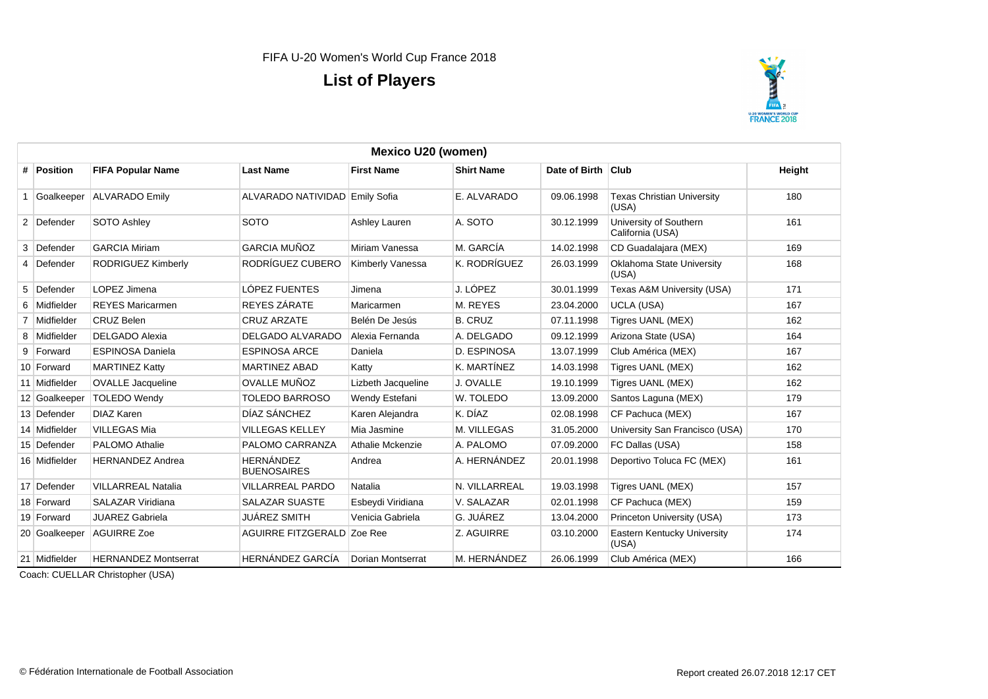

| <b>Mexico U20 (women)</b> |                             |                                        |                    |                   |                    |                                            |        |  |  |  |
|---------------------------|-----------------------------|----------------------------------------|--------------------|-------------------|--------------------|--------------------------------------------|--------|--|--|--|
| # Position                | <b>FIFA Popular Name</b>    | <b>Last Name</b>                       | <b>First Name</b>  | <b>Shirt Name</b> | Date of Birth Club |                                            | Height |  |  |  |
| Goalkeeper                | <b>ALVARADO Emily</b>       | ALVARADO NATIVIDAD Emily Sofia         |                    | E. ALVARADO       | 09.06.1998         | <b>Texas Christian University</b><br>(USA) | 180    |  |  |  |
| 2 Defender                | SOTO Ashley                 | <b>SOTO</b>                            | Ashley Lauren      | A. SOTO           | 30.12.1999         | University of Southern<br>California (USA) | 161    |  |  |  |
| 3 Defender                | <b>GARCIA Miriam</b>        | <b>GARCIA MUÑOZ</b>                    | Miriam Vanessa     | M. GARCÍA         | 14.02.1998         | CD Guadalajara (MEX)                       | 169    |  |  |  |
| 4 Defender                | RODRIGUEZ Kimberly          | RODRÍGUEZ CUBERO                       | Kimberly Vanessa   | K. RODRÍGUEZ      | 26.03.1999         | Oklahoma State University<br>(USA)         | 168    |  |  |  |
| 5 Defender                | LOPEZ Jimena                | LÓPEZ FUENTES                          | Jimena             | J. LÓPEZ          | 30.01.1999         | Texas A&M University (USA)                 | 171    |  |  |  |
| 6 Midfielder              | <b>REYES Maricarmen</b>     | REYES ZÁRATE                           | Maricarmen         | M. REYES          | 23.04.2000         | <b>UCLA (USA)</b>                          | 167    |  |  |  |
| 7 Midfielder              | <b>CRUZ Belen</b>           | <b>CRUZ ARZATE</b>                     | Belén De Jesús     | <b>B. CRUZ</b>    | 07.11.1998         | Tigres UANL (MEX)                          | 162    |  |  |  |
| 8 Midfielder              | <b>DELGADO Alexia</b>       | DELGADO ALVARADO                       | Alexia Fernanda    | A. DELGADO        | 09.12.1999         | Arizona State (USA)                        | 164    |  |  |  |
| 9 Forward                 | <b>ESPINOSA Daniela</b>     | <b>ESPINOSA ARCE</b>                   | Daniela            | D. ESPINOSA       | 13.07.1999         | Club América (MEX)                         | 167    |  |  |  |
| 10 Forward                | <b>MARTINEZ Katty</b>       | <b>MARTINEZ ABAD</b>                   | Katty              | K. MARTÍNEZ       | 14.03.1998         | Tigres UANL (MEX)                          | 162    |  |  |  |
| 11 Midfielder             | <b>OVALLE</b> Jacqueline    | <b>OVALLE MUÑOZ</b>                    | Lizbeth Jacqueline | J. OVALLE         | 19.10.1999         | Tigres UANL (MEX)                          | 162    |  |  |  |
| 12 Goalkeeper             | <b>TOLEDO Wendy</b>         | <b>TOLEDO BARROSO</b>                  | Wendy Estefani     | W. TOLEDO         | 13.09.2000         | Santos Laguna (MEX)                        | 179    |  |  |  |
| 13 Defender               | <b>DIAZ Karen</b>           | DÍAZ SÁNCHEZ                           | Karen Alejandra    | K. DÍAZ           | 02.08.1998         | CF Pachuca (MEX)                           | 167    |  |  |  |
| 14 Midfielder             | <b>VILLEGAS Mia</b>         | <b>VILLEGAS KELLEY</b>                 | Mia Jasmine        | M. VILLEGAS       | 31.05.2000         | University San Francisco (USA)             | 170    |  |  |  |
| 15 Defender               | <b>PALOMO Athalie</b>       | PALOMO CARRANZA                        | Athalie Mckenzie   | A. PALOMO         | 07.09.2000         | FC Dallas (USA)                            | 158    |  |  |  |
| 16 Midfielder             | <b>HERNANDEZ Andrea</b>     | <b>HERNÁNDEZ</b><br><b>BUENOSAIRES</b> | Andrea             | A. HERNÁNDEZ      | 20.01.1998         | Deportivo Toluca FC (MEX)                  | 161    |  |  |  |
| 17 Defender               | <b>VILLARREAL Natalia</b>   | <b>VILLARREAL PARDO</b>                | Natalia            | N. VILLARREAL     | 19.03.1998         | Tigres UANL (MEX)                          | 157    |  |  |  |
| 18 Forward                | SALAZAR Viridiana           | <b>SALAZAR SUASTE</b>                  | Esbeydi Viridiana  | V. SALAZAR        | 02.01.1998         | CF Pachuca (MEX)                           | 159    |  |  |  |
| 19 Forward                | <b>JUAREZ Gabriela</b>      | <b>JUÁREZ SMITH</b>                    | Venicia Gabriela   | G. JUÁREZ         | 13.04.2000         | Princeton University (USA)                 | 173    |  |  |  |
| 20 Goalkeeper             | <b>AGUIRRE Zoe</b>          | AGUIRRE FITZGERALD Zoe Ree             |                    | Z. AGUIRRE        | 03.10.2000         | Eastern Kentucky University<br>(USA)       | 174    |  |  |  |
| 21 Midfielder             | <b>HERNANDEZ Montserrat</b> | HERNÁNDEZ GARCÍA                       | Dorian Montserrat  | M. HERNÁNDEZ      | 26.06.1999         | Club América (MEX)                         | 166    |  |  |  |

Coach: CUELLAR Christopher (USA)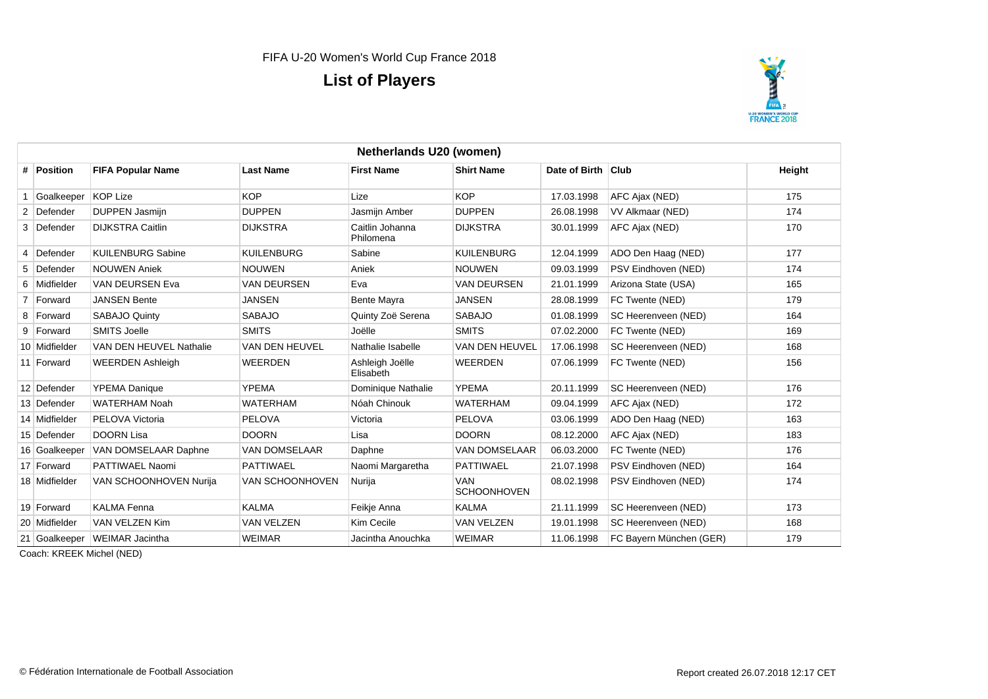

|   | Netherlands U20 (women) |                               |                      |                              |                                  |                    |                         |        |  |  |
|---|-------------------------|-------------------------------|----------------------|------------------------------|----------------------------------|--------------------|-------------------------|--------|--|--|
|   | # Position              | <b>FIFA Popular Name</b>      | <b>Last Name</b>     | <b>First Name</b>            | <b>Shirt Name</b>                | Date of Birth Club |                         | Height |  |  |
|   | Goalkeeper              | KOP Lize                      | <b>KOP</b>           | Lize                         | <b>KOP</b>                       | 17.03.1998         | AFC Ajax (NED)          | 175    |  |  |
|   | 2 Defender              | DUPPEN Jasmijn                | <b>DUPPEN</b>        | Jasmijn Amber                | <b>DUPPEN</b>                    | 26.08.1998         | VV Alkmaar (NED)        | 174    |  |  |
|   | 3 Defender              | <b>DIJKSTRA Caitlin</b>       | <b>DIJKSTRA</b>      | Caitlin Johanna<br>Philomena | <b>DIJKSTRA</b>                  | 30.01.1999         | AFC Ajax (NED)          | 170    |  |  |
| 4 | Defender                | <b>KUILENBURG Sabine</b>      | <b>KUILENBURG</b>    | Sabine                       | <b>KUILENBURG</b>                | 12.04.1999         | ADO Den Haag (NED)      | 177    |  |  |
| 5 | Defender                | <b>NOUWEN Aniek</b>           | <b>NOUWEN</b>        | Aniek                        | <b>NOUWEN</b>                    | 09.03.1999         | PSV Eindhoven (NED)     | 174    |  |  |
| 6 | Midfielder              | VAN DEURSEN Eva               | <b>VAN DEURSEN</b>   | Eva                          | <b>VAN DEURSEN</b>               | 21.01.1999         | Arizona State (USA)     | 165    |  |  |
|   | Forward                 | <b>JANSEN Bente</b>           | JANSEN               | Bente Mayra                  | <b>JANSEN</b>                    | 28.08.1999         | FC Twente (NED)         | 179    |  |  |
|   | 8 Forward               | SABAJO Quinty                 | <b>SABAJO</b>        | Quinty Zoë Serena            | <b>SABAJO</b>                    | 01.08.1999         | SC Heerenveen (NED)     | 164    |  |  |
|   | 9 Forward               | <b>SMITS Joelle</b>           | <b>SMITS</b>         | Joëlle                       | <b>SMITS</b>                     | 07.02.2000         | FC Twente (NED)         | 169    |  |  |
|   | 10 Midfielder           | VAN DEN HEUVEL Nathalie       | VAN DEN HEUVEL       | Nathalie Isabelle            | VAN DEN HEUVEL                   | 17.06.1998         | SC Heerenveen (NED)     | 168    |  |  |
|   | 11 Forward              | <b>WEERDEN Ashleigh</b>       | <b>WEERDEN</b>       | Ashleigh Joëlle<br>Elisabeth | <b>WEERDEN</b>                   | 07.06.1999         | FC Twente (NED)         | 156    |  |  |
|   | 12 Defender             | <b>YPEMA Danique</b>          | <b>YPEMA</b>         | Dominique Nathalie           | <b>YPEMA</b>                     | 20.11.1999         | SC Heerenveen (NED)     | 176    |  |  |
|   | 13 Defender             | <b>WATERHAM Noah</b>          | <b>WATERHAM</b>      | Nóah Chinouk                 | <b>WATERHAM</b>                  | 09.04.1999         | AFC Ajax (NED)          | 172    |  |  |
|   | 14 Midfielder           | PELOVA Victoria               | <b>PELOVA</b>        | Victoria                     | <b>PELOVA</b>                    | 03.06.1999         | ADO Den Haag (NED)      | 163    |  |  |
|   | 15 Defender             | <b>DOORN Lisa</b>             | <b>DOORN</b>         | Lisa                         | <b>DOORN</b>                     | 08.12.2000         | AFC Ajax (NED)          | 183    |  |  |
|   | 16 Goalkeeper           | VAN DOMSELAAR Daphne          | <b>VAN DOMSELAAR</b> | Daphne                       | <b>VAN DOMSELAAR</b>             | 06.03.2000         | FC Twente (NED)         | 176    |  |  |
|   | 17 Forward              | PATTIWAEL Naomi               | <b>PATTIWAEL</b>     | Naomi Margaretha             | <b>PATTIWAEL</b>                 | 21.07.1998         | PSV Eindhoven (NED)     | 164    |  |  |
|   | 18 Midfielder           | VAN SCHOONHOVEN Nurija        | VAN SCHOONHOVEN      | Nurija                       | <b>VAN</b><br><b>SCHOONHOVEN</b> | 08.02.1998         | PSV Eindhoven (NED)     | 174    |  |  |
|   | 19 Forward              | <b>KALMA Fenna</b>            | <b>KALMA</b>         | Feikje Anna                  | <b>KALMA</b>                     | 21.11.1999         | SC Heerenveen (NED)     | 173    |  |  |
|   | 20 Midfielder           | VAN VELZEN Kim                | <b>VAN VELZEN</b>    | Kim Cecile                   | <b>VAN VELZEN</b>                | 19.01.1998         | SC Heerenveen (NED)     | 168    |  |  |
|   |                         | 21 Goalkeeper WEIMAR Jacintha | <b>WEIMAR</b>        | Jacintha Anouchka            | <b>WEIMAR</b>                    | 11.06.1998         | FC Bayern München (GER) | 179    |  |  |

Coach: KREEK Michel (NED)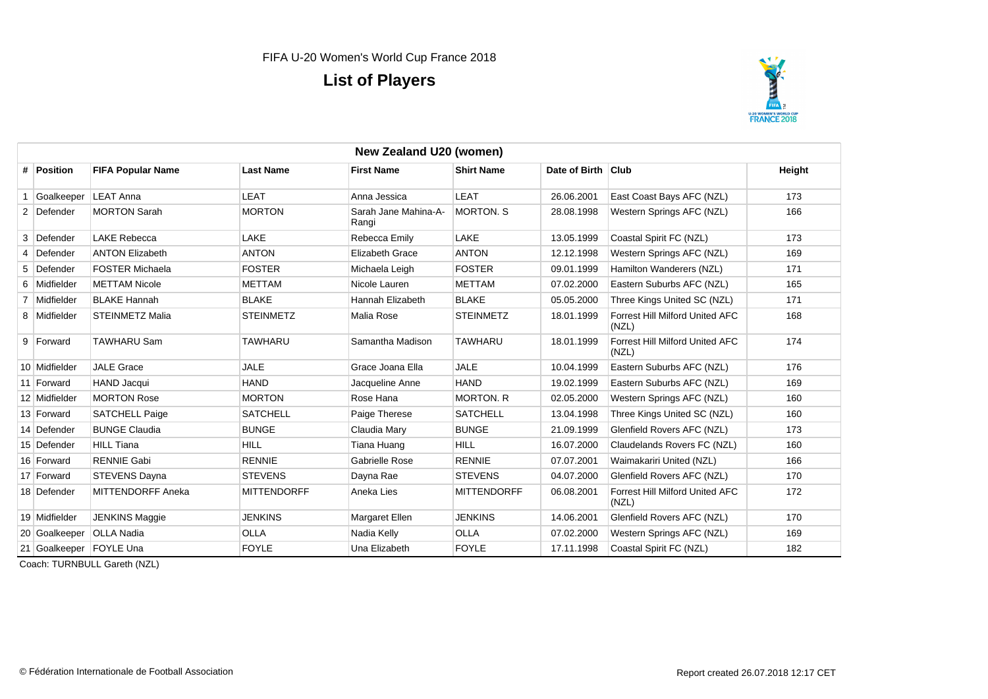

|   | New Zealand U20 (women) |                          |                    |                               |                    |                    |                                                 |        |  |  |
|---|-------------------------|--------------------------|--------------------|-------------------------------|--------------------|--------------------|-------------------------------------------------|--------|--|--|
|   | # Position              | <b>FIFA Popular Name</b> | <b>Last Name</b>   | <b>First Name</b>             | <b>Shirt Name</b>  | Date of Birth Club |                                                 | Height |  |  |
|   | Goalkeeper              | <b>LEAT Anna</b>         | LEAT               | Anna Jessica                  | LEAT               | 26.06.2001         | East Coast Bays AFC (NZL)                       | 173    |  |  |
|   | 2 Defender              | <b>MORTON Sarah</b>      | <b>MORTON</b>      | Sarah Jane Mahina-A-<br>Rangi | <b>MORTON, S</b>   | 28.08.1998         | Western Springs AFC (NZL)                       | 166    |  |  |
|   | 3 Defender              | <b>LAKE Rebecca</b>      | <b>LAKE</b>        | Rebecca Emily                 | LAKE               | 13.05.1999         | Coastal Spirit FC (NZL)                         | 173    |  |  |
| 4 | Defender                | <b>ANTON Elizabeth</b>   | <b>ANTON</b>       | <b>Elizabeth Grace</b>        | <b>ANTON</b>       | 12.12.1998         | Western Springs AFC (NZL)                       | 169    |  |  |
|   | 5 Defender              | <b>FOSTER Michaela</b>   | <b>FOSTER</b>      | Michaela Leigh                | <b>FOSTER</b>      | 09.01.1999         | Hamilton Wanderers (NZL)                        | 171    |  |  |
|   | 6 Midfielder            | <b>METTAM Nicole</b>     | <b>METTAM</b>      | Nicole Lauren                 | <b>METTAM</b>      | 07.02.2000         | Eastern Suburbs AFC (NZL)                       | 165    |  |  |
|   | 7 Midfielder            | <b>BLAKE Hannah</b>      | <b>BLAKE</b>       | Hannah Elizabeth              | <b>BLAKE</b>       | 05.05.2000         | Three Kings United SC (NZL)                     | 171    |  |  |
|   | 8 Midfielder            | <b>STEINMETZ Malia</b>   | <b>STEINMETZ</b>   | Malia Rose                    | <b>STEINMETZ</b>   | 18.01.1999         | Forrest Hill Milford United AFC<br>(NZL)        | 168    |  |  |
|   | 9 Forward               | <b>TAWHARU Sam</b>       | <b>TAWHARU</b>     | Samantha Madison              | <b>TAWHARU</b>     | 18.01.1999         | Forrest Hill Milford United AFC<br>(NZL)        | 174    |  |  |
|   | 10 Midfielder           | <b>JALE Grace</b>        | <b>JALE</b>        | Grace Joana Ella              | <b>JALE</b>        | 10.04.1999         | Eastern Suburbs AFC (NZL)                       | 176    |  |  |
|   | 11 Forward              | <b>HAND Jacqui</b>       | <b>HAND</b>        | Jacqueline Anne               | <b>HAND</b>        | 19.02.1999         | Eastern Suburbs AFC (NZL)                       | 169    |  |  |
|   | 12 Midfielder           | <b>MORTON Rose</b>       | <b>MORTON</b>      | Rose Hana                     | <b>MORTON, R</b>   | 02.05.2000         | Western Springs AFC (NZL)                       | 160    |  |  |
|   | 13 Forward              | <b>SATCHELL Paige</b>    | <b>SATCHELL</b>    | Paige Therese                 | <b>SATCHELL</b>    | 13.04.1998         | Three Kings United SC (NZL)                     | 160    |  |  |
|   | 14 Defender             | <b>BUNGE Claudia</b>     | <b>BUNGE</b>       | Claudia Mary                  | <b>BUNGE</b>       | 21.09.1999         | Glenfield Rovers AFC (NZL)                      | 173    |  |  |
|   | 15 Defender             | <b>HILL Tiana</b>        | <b>HILL</b>        | Tiana Huang                   | <b>HILL</b>        | 16.07.2000         | Claudelands Rovers FC (NZL)                     | 160    |  |  |
|   | 16 Forward              | <b>RENNIE Gabi</b>       | <b>RENNIE</b>      | Gabrielle Rose                | <b>RENNIE</b>      | 07.07.2001         | Waimakariri United (NZL)                        | 166    |  |  |
|   | 17 Forward              | <b>STEVENS Dayna</b>     | <b>STEVENS</b>     | Dayna Rae                     | <b>STEVENS</b>     | 04.07.2000         | Glenfield Rovers AFC (NZL)                      | 170    |  |  |
|   | 18 Defender             | <b>MITTENDORFF Aneka</b> | <b>MITTENDORFF</b> | Aneka Lies                    | <b>MITTENDORFF</b> | 06.08.2001         | <b>Forrest Hill Milford United AFC</b><br>(NZL) | 172    |  |  |
|   | 19 Midfielder           | JENKINS Maggie           | <b>JENKINS</b>     | Margaret Ellen                | <b>JENKINS</b>     | 14.06.2001         | Glenfield Rovers AFC (NZL)                      | 170    |  |  |
|   | 20 Goalkeeper           | <b>OLLA Nadia</b>        | OLLA               | Nadia Kelly                   | <b>OLLA</b>        | 07.02.2000         | Western Springs AFC (NZL)                       | 169    |  |  |
|   | 21 Goalkeeper FOYLE Una |                          | <b>FOYLE</b>       | Una Elizabeth                 | <b>FOYLE</b>       | 17.11.1998         | Coastal Spirit FC (NZL)                         | 182    |  |  |

Coach: TURNBULL Gareth (NZL)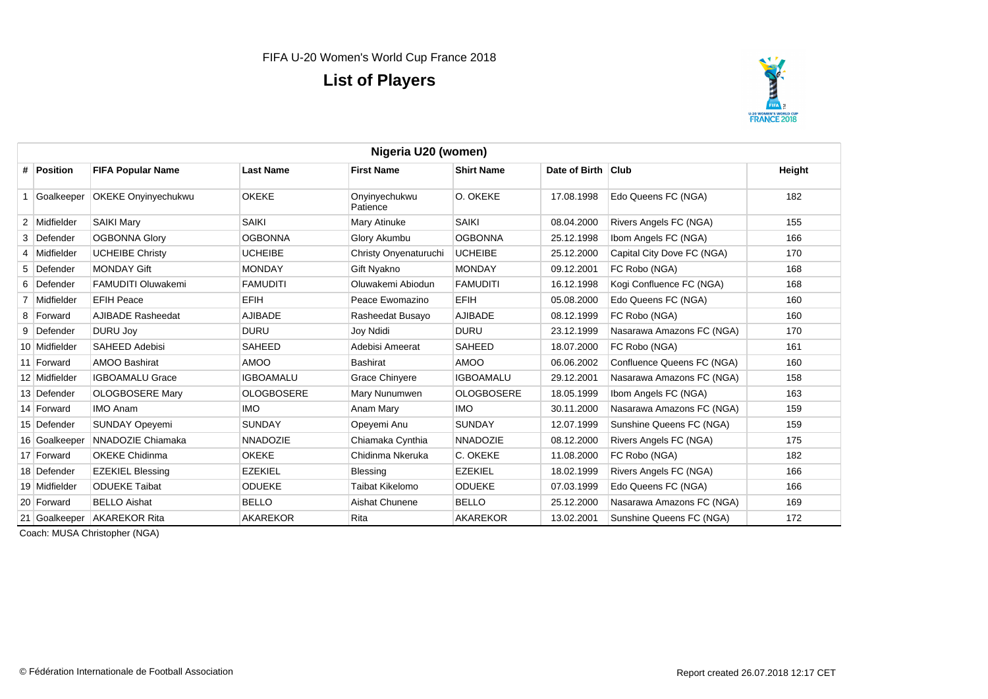

|   | Nigeria U20 (women) |                            |                   |                           |                   |                    |                            |        |
|---|---------------------|----------------------------|-------------------|---------------------------|-------------------|--------------------|----------------------------|--------|
|   | # Position          | <b>FIFA Popular Name</b>   | <b>Last Name</b>  | <b>First Name</b>         | <b>Shirt Name</b> | Date of Birth Club |                            | Height |
|   | Goalkeeper          | <b>OKEKE Onyinyechukwu</b> | <b>OKEKE</b>      | Onyinyechukwu<br>Patience | O. OKEKE          | 17.08.1998         | Edo Queens FC (NGA)        | 182    |
|   | 2 Midfielder        | <b>SAIKI Mary</b>          | <b>SAIKI</b>      | Mary Atinuke              | <b>SAIKI</b>      | 08.04.2000         | Rivers Angels FC (NGA)     | 155    |
| 3 | Defender            | <b>OGBONNA Glory</b>       | <b>OGBONNA</b>    | Glory Akumbu              | <b>OGBONNA</b>    | 25.12.1998         | Ibom Angels FC (NGA)       | 166    |
|   | 4 Midfielder        | <b>UCHEIBE Christy</b>     | <b>UCHEIBE</b>    | Christy Onyenaturuchi     | <b>UCHEIBE</b>    | 25.12.2000         | Capital City Dove FC (NGA) | 170    |
|   | 5 Defender          | <b>MONDAY Gift</b>         | <b>MONDAY</b>     | Gift Nyakno               | <b>MONDAY</b>     | 09.12.2001         | FC Robo (NGA)              | 168    |
|   | 6 Defender          | <b>FAMUDITI Oluwakemi</b>  | <b>FAMUDITI</b>   | Oluwakemi Abiodun         | <b>FAMUDITI</b>   | 16.12.1998         | Kogi Confluence FC (NGA)   | 168    |
|   | Midfielder          | <b>EFIH Peace</b>          | <b>EFIH</b>       | Peace Ewomazino           | <b>EFIH</b>       | 05.08.2000         | Edo Queens FC (NGA)        | 160    |
|   | 8 Forward           | <b>AJIBADE Rasheedat</b>   | <b>AJIBADE</b>    | Rasheedat Busayo          | <b>AJIBADE</b>    | 08.12.1999         | FC Robo (NGA)              | 160    |
|   | 9 Defender          | <b>DURU Joy</b>            | <b>DURU</b>       | Joy Ndidi                 | <b>DURU</b>       | 23.12.1999         | Nasarawa Amazons FC (NGA)  | 170    |
|   | 10 Midfielder       | <b>SAHEED Adebisi</b>      | <b>SAHEED</b>     | Adebisi Ameerat           | <b>SAHEED</b>     | 18.07.2000         | FC Robo (NGA)              | 161    |
|   | 11 Forward          | <b>AMOO Bashirat</b>       | <b>OOMA</b>       | <b>Bashirat</b>           | AMOO              | 06.06.2002         | Confluence Queens FC (NGA) | 160    |
|   | 12 Midfielder       | <b>IGBOAMALU Grace</b>     | <b>IGBOAMALU</b>  | Grace Chinyere            | <b>IGBOAMALU</b>  | 29.12.2001         | Nasarawa Amazons FC (NGA)  | 158    |
|   | 13 Defender         | OLOGBOSERE Mary            | <b>OLOGBOSERE</b> | Mary Nunumwen             | <b>OLOGBOSERE</b> | 18.05.1999         | Ibom Angels FC (NGA)       | 163    |
|   | 14 Forward          | <b>IMO Anam</b>            | <b>IMO</b>        | Anam Mary                 | <b>IMO</b>        | 30.11.2000         | Nasarawa Amazons FC (NGA)  | 159    |
|   | 15 Defender         | <b>SUNDAY Opeyemi</b>      | <b>SUNDAY</b>     | Opeyemi Anu               | <b>SUNDAY</b>     | 12.07.1999         | Sunshine Queens FC (NGA)   | 159    |
|   | 16 Goalkeeper       | NNADOZIE Chiamaka          | <b>NNADOZIE</b>   | Chiamaka Cynthia          | <b>NNADOZIE</b>   | 08.12.2000         | Rivers Angels FC (NGA)     | 175    |
|   | 17 Forward          | <b>OKEKE Chidinma</b>      | <b>OKEKE</b>      | Chidinma Nkeruka          | C. OKEKE          | 11.08.2000         | FC Robo (NGA)              | 182    |
|   | 18 Defender         | <b>EZEKIEL Blessing</b>    | <b>EZEKIEL</b>    | Blessing                  | <b>EZEKIEL</b>    | 18.02.1999         | Rivers Angels FC (NGA)     | 166    |
|   | 19 Midfielder       | <b>ODUEKE Taibat</b>       | <b>ODUEKE</b>     | Taibat Kikelomo           | <b>ODUEKE</b>     | 07.03.1999         | Edo Queens FC (NGA)        | 166    |
|   | 20 Forward          | <b>BELLO Aishat</b>        | <b>BELLO</b>      | Aishat Chunene            | <b>BELLO</b>      | 25.12.2000         | Nasarawa Amazons FC (NGA)  | 169    |
|   | 21 Goalkeeper       | <b>AKAREKOR Rita</b>       | <b>AKAREKOR</b>   | Rita                      | <b>AKAREKOR</b>   | 13.02.2001         | Sunshine Queens FC (NGA)   | 172    |

Coach: MUSA Christopher (NGA)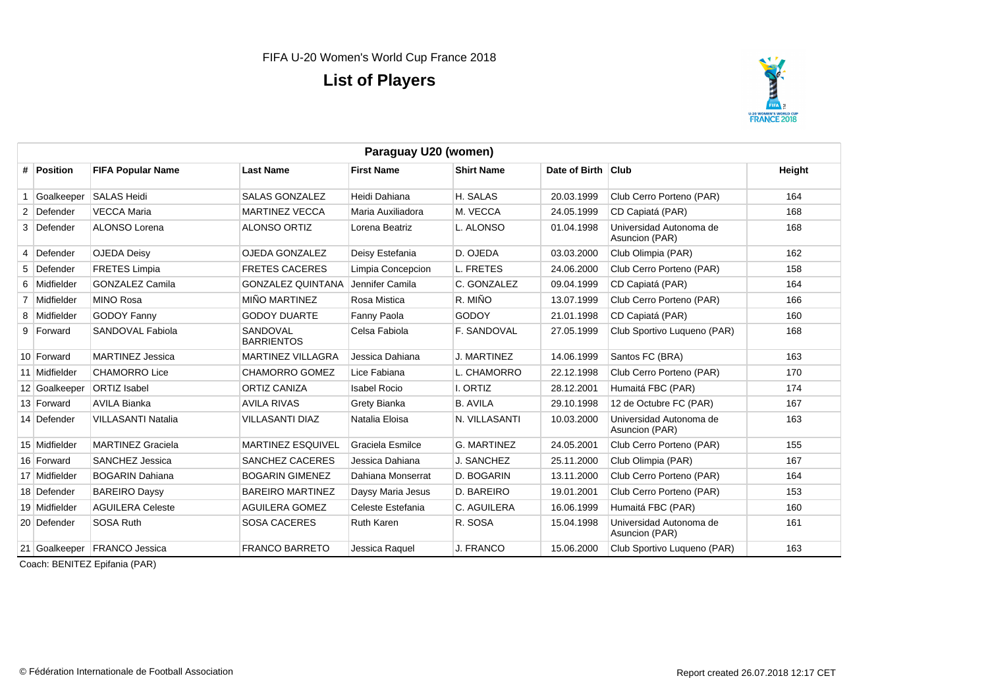

|    | Paraguay U20 (women) |                              |                               |                     |                    |                    |                                           |        |  |
|----|----------------------|------------------------------|-------------------------------|---------------------|--------------------|--------------------|-------------------------------------------|--------|--|
|    | # Position           | <b>FIFA Popular Name</b>     | <b>Last Name</b>              | <b>First Name</b>   | <b>Shirt Name</b>  | Date of Birth Club |                                           | Height |  |
| -1 | Goalkeeper           | <b>SALAS Heidi</b>           | <b>SALAS GONZALEZ</b>         | Heidi Dahiana       | H. SALAS           | 20.03.1999         | Club Cerro Porteno (PAR)                  | 164    |  |
|    | 2 Defender           | <b>VECCA Maria</b>           | <b>MARTINEZ VECCA</b>         | Maria Auxiliadora   | M. VECCA           | 24.05.1999         | CD Capiatá (PAR)                          | 168    |  |
|    | 3 Defender           | ALONSO Lorena                | <b>ALONSO ORTIZ</b>           | Lorena Beatriz      | L. ALONSO          | 01.04.1998         | Universidad Autonoma de<br>Asuncion (PAR) | 168    |  |
|    | 4 Defender           | <b>OJEDA Deisv</b>           | OJEDA GONZALEZ                | Deisy Estefania     | D. OJEDA           | 03.03.2000         | Club Olimpia (PAR)                        | 162    |  |
|    | 5 Defender           | <b>FRETES Limpia</b>         | <b>FRETES CACERES</b>         | Limpia Concepcion   | L. FRETES          | 24.06.2000         | Club Cerro Porteno (PAR)                  | 158    |  |
|    | 6 Midfielder         | <b>GONZALEZ Camila</b>       | <b>GONZALEZ QUINTANA</b>      | Jennifer Camila     | C. GONZALEZ        | 09.04.1999         | CD Capiatá (PAR)                          | 164    |  |
|    | 7 Midfielder         | <b>MINO Rosa</b>             | <b>MIÑO MARTINEZ</b>          | Rosa Mistica        | R. MIÑO            | 13.07.1999         | Club Cerro Porteno (PAR)                  | 166    |  |
|    | 8 Midfielder         | <b>GODOY Fanny</b>           | <b>GODOY DUARTE</b>           | Fanny Paola         | <b>GODOY</b>       | 21.01.1998         | CD Capiatá (PAR)                          | 160    |  |
|    | 9 Forward            | SANDOVAL Fabiola             | SANDOVAL<br><b>BARRIENTOS</b> | Celsa Fabiola       | F. SANDOVAL        | 27.05.1999         | Club Sportivo Luqueno (PAR)               | 168    |  |
|    | 10 Forward           | <b>MARTINEZ Jessica</b>      | <b>MARTINEZ VILLAGRA</b>      | Jessica Dahiana     | J. MARTINEZ        | 14.06.1999         | Santos FC (BRA)                           | 163    |  |
|    | 11 Midfielder        | <b>CHAMORRO Lice</b>         | <b>CHAMORRO GOMEZ</b>         | Lice Fabiana        | L. CHAMORRO        | 22.12.1998         | Club Cerro Porteno (PAR)                  | 170    |  |
|    | 12 Goalkeeper        | <b>ORTIZ Isabel</b>          | <b>ORTIZ CANIZA</b>           | <b>Isabel Rocio</b> | I. ORTIZ           | 28.12.2001         | Humaitá FBC (PAR)                         | 174    |  |
|    | 13 Forward           | AVILA Bianka                 | <b>AVILA RIVAS</b>            | Grety Bianka        | <b>B. AVILA</b>    | 29.10.1998         | 12 de Octubre FC (PAR)                    | 167    |  |
|    | 14 Defender          | VILLASANTI Natalia           | <b>VILLASANTI DIAZ</b>        | Natalia Eloisa      | N. VILLASANTI      | 10.03.2000         | Universidad Autonoma de<br>Asuncion (PAR) | 163    |  |
|    | 15 Midfielder        | <b>MARTINEZ Graciela</b>     | <b>MARTINEZ ESQUIVEL</b>      | Graciela Esmilce    | <b>G. MARTINEZ</b> | 24.05.2001         | Club Cerro Porteno (PAR)                  | 155    |  |
|    | 16 Forward           | SANCHEZ Jessica              | <b>SANCHEZ CACERES</b>        | Jessica Dahiana     | J. SANCHEZ         | 25.11.2000         | Club Olimpia (PAR)                        | 167    |  |
|    | 17 Midfielder        | <b>BOGARIN Dahiana</b>       | <b>BOGARIN GIMENEZ</b>        | Dahiana Monserrat   | D. BOGARIN         | 13.11.2000         | Club Cerro Porteno (PAR)                  | 164    |  |
|    | 18 Defender          | <b>BAREIRO Daysy</b>         | <b>BAREIRO MARTINEZ</b>       | Daysy Maria Jesus   | D. BAREIRO         | 19.01.2001         | Club Cerro Porteno (PAR)                  | 153    |  |
|    | 19 Midfielder        | <b>AGUILERA Celeste</b>      | AGUILERA GOMEZ                | Celeste Estefania   | C. AGUILERA        | 16.06.1999         | Humaitá FBC (PAR)                         | 160    |  |
|    | 20 Defender          | SOSA Ruth                    | <b>SOSA CACERES</b>           | <b>Ruth Karen</b>   | R. SOSA            | 15.04.1998         | Universidad Autonoma de<br>Asuncion (PAR) | 161    |  |
|    |                      | 21 Goalkeeper FRANCO Jessica | <b>FRANCO BARRETO</b>         | Jessica Raquel      | J. FRANCO          | 15.06.2000         | Club Sportivo Luqueno (PAR)               | 163    |  |

Coach: BENITEZ Epifania (PAR)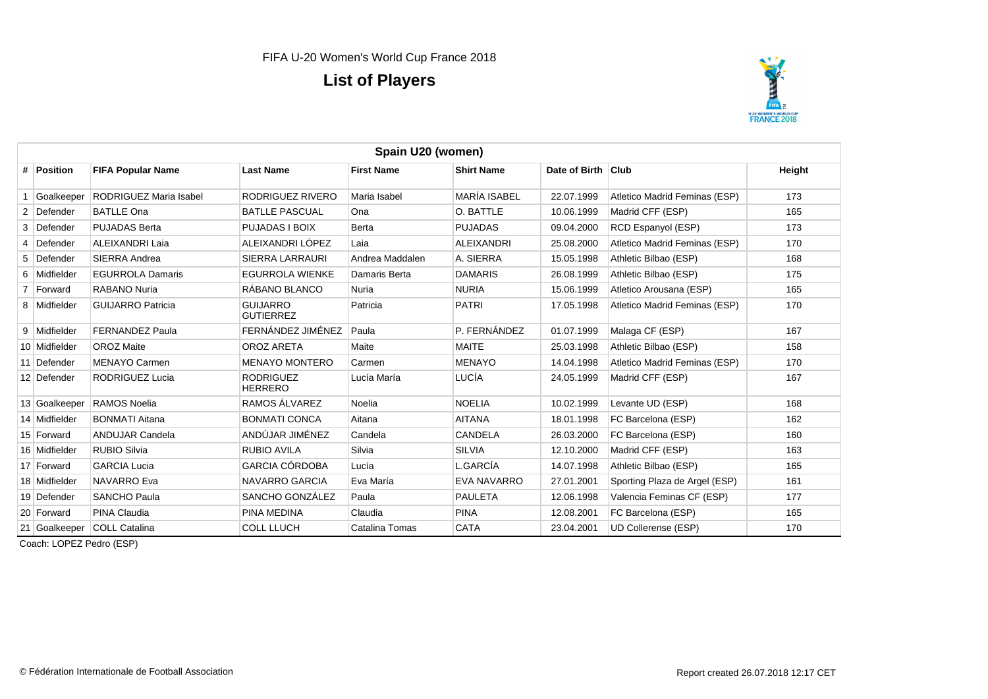

| Spain U20 (women) |               |                               |                                     |                   |                     |                    |                               |        |
|-------------------|---------------|-------------------------------|-------------------------------------|-------------------|---------------------|--------------------|-------------------------------|--------|
|                   | # Position    | <b>FIFA Popular Name</b>      | <b>Last Name</b>                    | <b>First Name</b> | <b>Shirt Name</b>   | Date of Birth Club |                               | Height |
|                   | Goalkeeper    | <b>RODRIGUEZ Maria Isabel</b> | RODRIGUEZ RIVERO                    | Maria Isabel      | <b>MARÍA ISABEL</b> | 22.07.1999         | Atletico Madrid Feminas (ESP) | 173    |
|                   | 2 Defender    | <b>BATLLE Ona</b>             | <b>BATLLE PASCUAL</b>               | Ona               | O. BATTLE           | 10.06.1999         | Madrid CFF (ESP)              | 165    |
|                   | 3 Defender    | <b>PUJADAS Berta</b>          | PUJADAS I BOIX                      | Berta             | <b>PUJADAS</b>      | 09.04.2000         | RCD Espanyol (ESP)            | 173    |
|                   | 4 Defender    | ALEIXANDRI Laia               | ALEIXANDRI LÓPEZ                    | Laia              | <b>ALEIXANDRI</b>   | 25.08.2000         | Atletico Madrid Feminas (ESP) | 170    |
|                   | 5 Defender    | <b>SIERRA Andrea</b>          | SIERRA LARRAURI                     | Andrea Maddalen   | A. SIERRA           | 15.05.1998         | Athletic Bilbao (ESP)         | 168    |
|                   | 6 Midfielder  | <b>EGURROLA Damaris</b>       | <b>EGURROLA WIENKE</b>              | Damaris Berta     | <b>DAMARIS</b>      | 26.08.1999         | Athletic Bilbao (ESP)         | 175    |
|                   | 7 Forward     | <b>RABANO Nuria</b>           | RÁBANO BLANCO                       | Nuria             | <b>NURIA</b>        | 15.06.1999         | Atletico Arousana (ESP)       | 165    |
|                   | 8 Midfielder  | <b>GUIJARRO Patricia</b>      | <b>GUIJARRO</b><br><b>GUTIERREZ</b> | Patricia          | <b>PATRI</b>        | 17.05.1998         | Atletico Madrid Feminas (ESP) | 170    |
|                   | 9 Midfielder  | FERNANDEZ Paula               | FERNÁNDEZ JIMÉNEZ                   | Paula             | P. FERNÁNDEZ        | 01.07.1999         | Malaga CF (ESP)               | 167    |
|                   | 10 Midfielder | <b>OROZ Maite</b>             | OROZ ARETA                          | Maite             | <b>MAITE</b>        | 25.03.1998         | Athletic Bilbao (ESP)         | 158    |
|                   | 11 Defender   | <b>MENAYO Carmen</b>          | <b>MENAYO MONTERO</b>               | Carmen            | <b>MENAYO</b>       | 14.04.1998         | Atletico Madrid Feminas (ESP) | 170    |
|                   | 12 Defender   | RODRIGUEZ Lucia               | <b>RODRIGUEZ</b><br><b>HERRERO</b>  | Lucía María       | LUCÍA               | 24.05.1999         | Madrid CFF (ESP)              | 167    |
|                   | 13 Goalkeeper | <b>RAMOS Noelia</b>           | RAMOS ÁLVAREZ                       | Noelia            | <b>NOELIA</b>       | 10.02.1999         | Levante UD (ESP)              | 168    |
|                   | 14 Midfielder | <b>BONMATI Aitana</b>         | <b>BONMATI CONCA</b>                | Aitana            | <b>AITANA</b>       | 18.01.1998         | FC Barcelona (ESP)            | 162    |
|                   | 15 Forward    | <b>ANDUJAR Candela</b>        | ANDÚJAR JIMÉNEZ                     | Candela           | <b>CANDELA</b>      | 26.03.2000         | FC Barcelona (ESP)            | 160    |
|                   | 16 Midfielder | <b>RUBIO Silvia</b>           | <b>RUBIO AVILA</b>                  | Silvia            | <b>SILVIA</b>       | 12.10.2000         | Madrid CFF (ESP)              | 163    |
|                   | 17 Forward    | <b>GARCIA Lucia</b>           | GARCIA CÓRDOBA                      | Lucía             | L.GARCÍA            | 14.07.1998         | Athletic Bilbao (ESP)         | 165    |
|                   | 18 Midfielder | <b>NAVARRO Eva</b>            | NAVARRO GARCIA                      | Eva María         | <b>EVA NAVARRO</b>  | 27.01.2001         | Sporting Plaza de Argel (ESP) | 161    |
|                   | 19 Defender   | <b>SANCHO Paula</b>           | SANCHO GONZÁLEZ                     | Paula             | <b>PAULETA</b>      | 12.06.1998         | Valencia Feminas CF (ESP)     | 177    |
|                   | 20 Forward    | PINA Claudia                  | <b>PINA MEDINA</b>                  | Claudia           | <b>PINA</b>         | 12.08.2001         | FC Barcelona (ESP)            | 165    |
|                   | 21 Goalkeeper | <b>COLL Catalina</b>          | <b>COLL LLUCH</b>                   | Catalina Tomas    | <b>CATA</b>         | 23.04.2001         | UD Collerense (ESP)           | 170    |

Coach: LOPEZ Pedro (ESP)